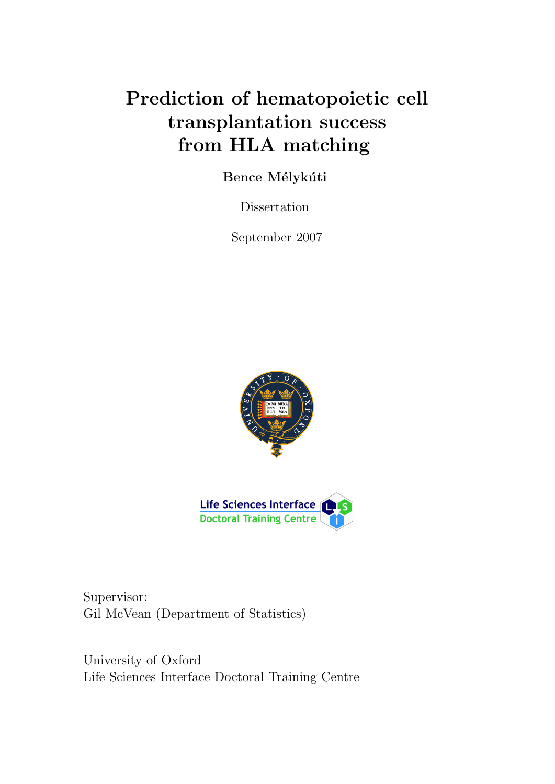# Prediction of hematopoietic cell transplantation success from HLA matching

# Bence Mélykúti

Dissertation

September 2007





Supervisor: Gil McVean (Department of Statistics)

University of Oxford Life Sciences Interface Doctoral Training Centre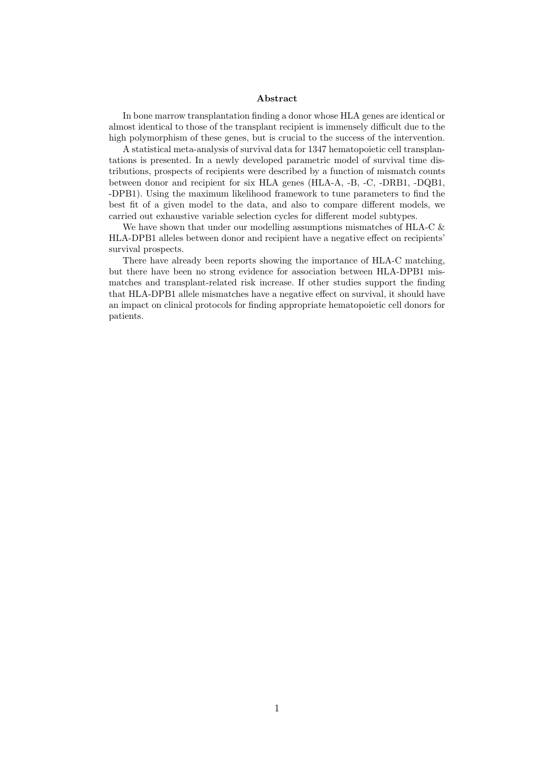#### Abstract

In bone marrow transplantation finding a donor whose HLA genes are identical or almost identical to those of the transplant recipient is immensely difficult due to the high polymorphism of these genes, but is crucial to the success of the intervention.

A statistical meta-analysis of survival data for 1347 hematopoietic cell transplantations is presented. In a newly developed parametric model of survival time distributions, prospects of recipients were described by a function of mismatch counts between donor and recipient for six HLA genes (HLA-A, -B, -C, -DRB1, -DQB1, -DPB1). Using the maximum likelihood framework to tune parameters to find the best fit of a given model to the data, and also to compare different models, we carried out exhaustive variable selection cycles for different model subtypes.

We have shown that under our modelling assumptions mismatches of HLA-C  $\&$ HLA-DPB1 alleles between donor and recipient have a negative effect on recipients' survival prospects.

There have already been reports showing the importance of HLA-C matching, but there have been no strong evidence for association between HLA-DPB1 mismatches and transplant-related risk increase. If other studies support the finding that HLA-DPB1 allele mismatches have a negative effect on survival, it should have an impact on clinical protocols for finding appropriate hematopoietic cell donors for patients.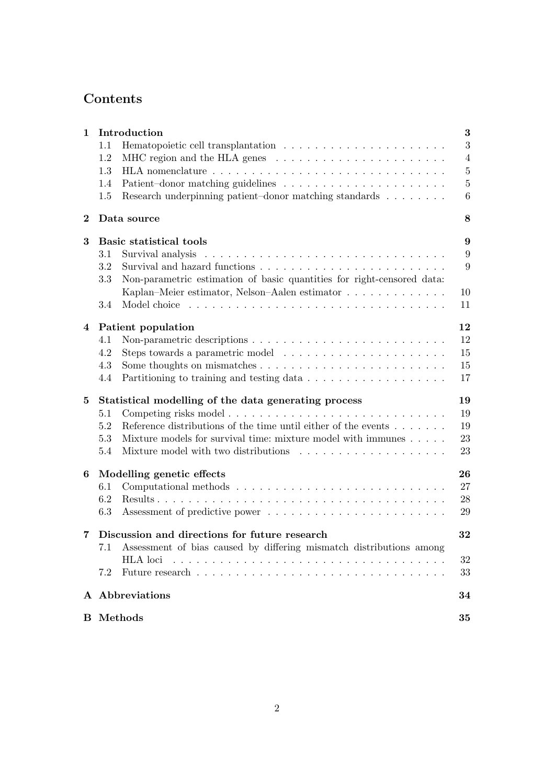# Contents

| $\mathbf{1}$   | Introduction                                  |                                                                                       |                  |  |  |  |
|----------------|-----------------------------------------------|---------------------------------------------------------------------------------------|------------------|--|--|--|
|                | 1.1                                           |                                                                                       | $\overline{3}$   |  |  |  |
|                | 1.2                                           | MHC region and the HLA genes $\dots \dots \dots \dots \dots \dots \dots \dots$        | $\overline{4}$   |  |  |  |
|                | 1.3                                           |                                                                                       | $\bf 5$          |  |  |  |
|                | 1.4                                           |                                                                                       | $\bf 5$          |  |  |  |
|                | 1.5                                           | Research underpinning patient-donor matching standards                                | 6                |  |  |  |
| $\bf{2}$       |                                               | Data source                                                                           | 8                |  |  |  |
| 3              |                                               | Basic statistical tools                                                               | $\boldsymbol{9}$ |  |  |  |
|                | $3.1\,$                                       |                                                                                       | 9                |  |  |  |
|                | 3.2                                           |                                                                                       | 9                |  |  |  |
|                |                                               |                                                                                       |                  |  |  |  |
|                | 3.3                                           | Non-parametric estimation of basic quantities for right-censored data:                |                  |  |  |  |
|                |                                               | Kaplan–Meier estimator, Nelson–Aalen estimator                                        | 10               |  |  |  |
|                | 3.4                                           |                                                                                       | 11               |  |  |  |
| $\overline{4}$ | 12<br>Patient population                      |                                                                                       |                  |  |  |  |
|                | 4.1                                           |                                                                                       | 12               |  |  |  |
|                | 4.2                                           | Steps towards a parametric model $\dots \dots \dots \dots \dots \dots \dots$          | 15               |  |  |  |
|                | 4.3                                           |                                                                                       | 15               |  |  |  |
|                | 4.4                                           |                                                                                       | 17               |  |  |  |
| 5              |                                               | Statistical modelling of the data generating process<br>19                            |                  |  |  |  |
|                | 5.1                                           |                                                                                       | 19               |  |  |  |
|                | 5.2                                           | Reference distributions of the time until either of the events $\ldots \ldots \ldots$ | 19               |  |  |  |
|                | 5.3                                           | Mixture models for survival time: mixture model with immunes                          | 23               |  |  |  |
|                | 5.4                                           |                                                                                       | 23               |  |  |  |
|                |                                               |                                                                                       |                  |  |  |  |
| 6              |                                               | Modelling genetic effects                                                             | 26               |  |  |  |
|                | 6.1                                           |                                                                                       | 27               |  |  |  |
|                | 6.2                                           |                                                                                       | 28               |  |  |  |
|                | 6.3                                           |                                                                                       | 29               |  |  |  |
| 7              | Discussion and directions for future research |                                                                                       |                  |  |  |  |
|                |                                               | 7.1 Assessment of bias caused by differing mismatch distributions among               |                  |  |  |  |
|                |                                               | HLA loci                                                                              | 32               |  |  |  |
|                | 7.2                                           |                                                                                       | 33               |  |  |  |
|                |                                               | A Abbreviations                                                                       | 34               |  |  |  |
|                |                                               |                                                                                       |                  |  |  |  |
|                | <b>B</b> Methods<br>35                        |                                                                                       |                  |  |  |  |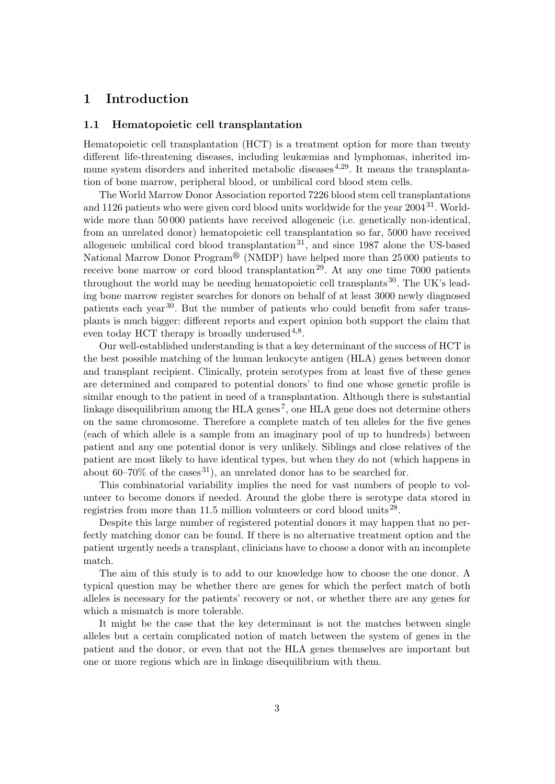# 1 Introduction

#### 1.1 Hematopoietic cell transplantation

Hematopoietic cell transplantation (HCT) is a treatment option for more than twenty different life-threatening diseases, including leukæmias and lymphomas, inherited immune system disorders and inherited metabolic diseases<sup> $4,29$ </sup>. It means the transplantation of bone marrow, peripheral blood, or umbilical cord blood stem cells.

The World Marrow Donor Association reported 7226 blood stem cell transplantations and 1126 patients who were given cord blood units worldwide for the year  $2004^{31}$ . Worldwide more than 50 000 patients have received allogeneic (i.e. genetically non-identical, from an unrelated donor) hematopoietic cell transplantation so far, 5000 have received allogeneic umbilical cord blood transplantation<sup>31</sup>, and since 1987 alone the US-based National Marrow Donor Program<sup>®</sup> (NMDP) have helped more than 25000 patients to receive bone marrow or cord blood transplantation<sup>29</sup>. At any one time  $7000$  patients throughout the world may be needing hematopoietic cell transplants  $30$ . The UK's leading bone marrow register searches for donors on behalf of at least 3000 newly diagnosed patients each year30. But the number of patients who could benefit from safer transplants is much bigger: different reports and expert opinion both support the claim that even today HCT therapy is broadly underused  $4,8$ .

Our well-established understanding is that a key determinant of the success of HCT is the best possible matching of the human leukocyte antigen (HLA) genes between donor and transplant recipient. Clinically, protein serotypes from at least five of these genes are determined and compared to potential donors' to find one whose genetic profile is similar enough to the patient in need of a transplantation. Although there is substantial linkage disequilibrium among the HLA genes<sup>7</sup>, one HLA gene does not determine others on the same chromosome. Therefore a complete match of ten alleles for the five genes (each of which allele is a sample from an imaginary pool of up to hundreds) between patient and any one potential donor is very unlikely. Siblings and close relatives of the patient are most likely to have identical types, but when they do not (which happens in about 60–70% of the cases  $31$ , an unrelated donor has to be searched for.

This combinatorial variability implies the need for vast numbers of people to volunteer to become donors if needed. Around the globe there is serotype data stored in registries from more than 11.5 million volunteers or cord blood units<sup>28</sup>.

Despite this large number of registered potential donors it may happen that no perfectly matching donor can be found. If there is no alternative treatment option and the patient urgently needs a transplant, clinicians have to choose a donor with an incomplete match.

The aim of this study is to add to our knowledge how to choose the one donor. A typical question may be whether there are genes for which the perfect match of both alleles is necessary for the patients' recovery or not, or whether there are any genes for which a mismatch is more tolerable.

It might be the case that the key determinant is not the matches between single alleles but a certain complicated notion of match between the system of genes in the patient and the donor, or even that not the HLA genes themselves are important but one or more regions which are in linkage disequilibrium with them.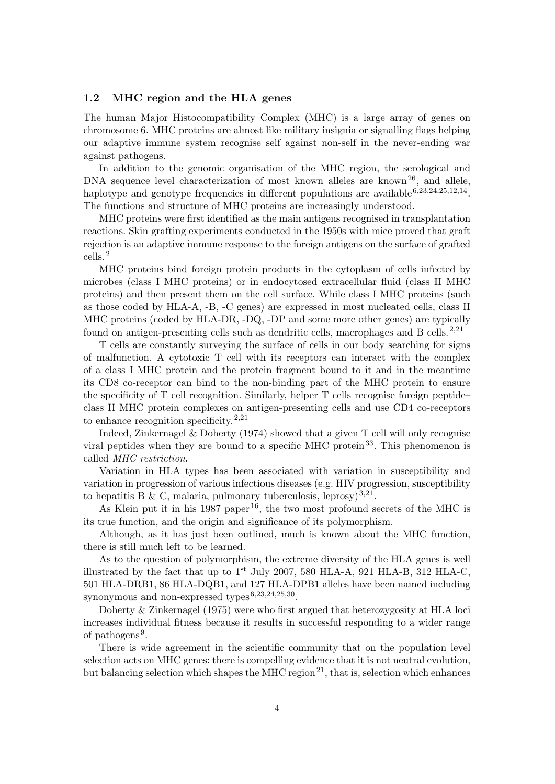#### 1.2 MHC region and the HLA genes

The human Major Histocompatibility Complex (MHC) is a large array of genes on chromosome 6. MHC proteins are almost like military insignia or signalling flags helping our adaptive immune system recognise self against non-self in the never-ending war against pathogens.

In addition to the genomic organisation of the MHC region, the serological and DNA sequence level characterization of most known alleles are known<sup>26</sup>, and allele, haplotype and genotype frequencies in different populations are available<sup>6,23,24,25,12,14</sup>. The functions and structure of MHC proteins are increasingly understood.

MHC proteins were first identified as the main antigens recognised in transplantation reactions. Skin grafting experiments conducted in the 1950s with mice proved that graft rejection is an adaptive immune response to the foreign antigens on the surface of grafted cells.<sup>2</sup>

MHC proteins bind foreign protein products in the cytoplasm of cells infected by microbes (class I MHC proteins) or in endocytosed extracellular fluid (class II MHC proteins) and then present them on the cell surface. While class I MHC proteins (such as those coded by HLA-A, -B, -C genes) are expressed in most nucleated cells, class II MHC proteins (coded by HLA-DR, -DQ, -DP and some more other genes) are typically found on antigen-presenting cells such as dendritic cells, macrophages and B cells.<sup>2,21</sup>

T cells are constantly surveying the surface of cells in our body searching for signs of malfunction. A cytotoxic T cell with its receptors can interact with the complex of a class I MHC protein and the protein fragment bound to it and in the meantime its CD8 co-receptor can bind to the non-binding part of the MHC protein to ensure the specificity of T cell recognition. Similarly, helper T cells recognise foreign peptide– class II MHC protein complexes on antigen-presenting cells and use CD4 co-receptors to enhance recognition specificity.<sup>2,21</sup>

Indeed, Zinkernagel & Doherty (1974) showed that a given T cell will only recognise viral peptides when they are bound to a specific MHC protein<sup>33</sup>. This phenomenon is called MHC restriction.

Variation in HLA types has been associated with variation in susceptibility and variation in progression of various infectious diseases (e.g. HIV progression, susceptibility to hepatitis B & C, malaria, pulmonary tuberculosis, leprosy)<sup>3,21</sup>.

As Klein put it in his 1987 paper<sup>16</sup>, the two most profound secrets of the MHC is its true function, and the origin and significance of its polymorphism.

Although, as it has just been outlined, much is known about the MHC function, there is still much left to be learned.

As to the question of polymorphism, the extreme diversity of the HLA genes is well illustrated by the fact that up to  $1<sup>st</sup>$  July 2007, 580 HLA-A, 921 HLA-B, 312 HLA-C, 501 HLA-DRB1, 86 HLA-DQB1, and 127 HLA-DPB1 alleles have been named including synonymous and non-expressed types<sup> $6,23,24,25,30$ </sup>.

Doherty & Zinkernagel (1975) were who first argued that heterozygosity at HLA loci increases individual fitness because it results in successful responding to a wider range of pathogens<sup>9</sup>.

There is wide agreement in the scientific community that on the population level selection acts on MHC genes: there is compelling evidence that it is not neutral evolution, but balancing selection which shapes the MHC region<sup>21</sup>, that is, selection which enhances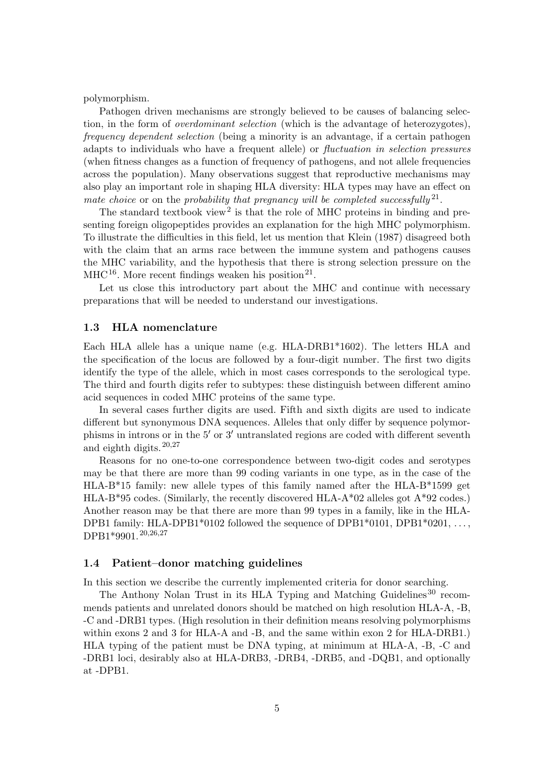polymorphism.

Pathogen driven mechanisms are strongly believed to be causes of balancing selection, in the form of overdominant selection (which is the advantage of heterozygotes), frequency dependent selection (being a minority is an advantage, if a certain pathogen adapts to individuals who have a frequent allele) or fluctuation in selection pressures (when fitness changes as a function of frequency of pathogens, and not allele frequencies across the population). Many observations suggest that reproductive mechanisms may also play an important role in shaping HLA diversity: HLA types may have an effect on mate choice or on the probability that pregnancy will be completed successfully  $2^1$ .

The standard textbook view<sup>2</sup> is that the role of MHC proteins in binding and presenting foreign oligopeptides provides an explanation for the high MHC polymorphism. To illustrate the difficulties in this field, let us mention that Klein (1987) disagreed both with the claim that an arms race between the immune system and pathogens causes the MHC variability, and the hypothesis that there is strong selection pressure on the  $\mathrm{MHC^{16}}$ . More recent findings weaken his position<sup>21</sup>.

Let us close this introductory part about the MHC and continue with necessary preparations that will be needed to understand our investigations.

#### 1.3 HLA nomenclature

Each HLA allele has a unique name (e.g. HLA-DRB1<sup>\*</sup>1602). The letters HLA and the specification of the locus are followed by a four-digit number. The first two digits identify the type of the allele, which in most cases corresponds to the serological type. The third and fourth digits refer to subtypes: these distinguish between different amino acid sequences in coded MHC proteins of the same type.

In several cases further digits are used. Fifth and sixth digits are used to indicate different but synonymous DNA sequences. Alleles that only differ by sequence polymorphisms in introns or in the  $5'$  or  $3'$  untranslated regions are coded with different seventh and eighth digits.  $20,27$ 

Reasons for no one-to-one correspondence between two-digit codes and serotypes may be that there are more than 99 coding variants in one type, as in the case of the HLA-B\*15 family: new allele types of this family named after the HLA-B\*1599 get  $HLA-B*95$  codes. (Similarly, the recently discovered  $HLA-A*02$  alleles got  $A*92$  codes.) Another reason may be that there are more than 99 types in a family, like in the HLA-DPB1 family: HLA-DPB1\*0102 followed the sequence of DPB1\*0101, DPB1\*0201, ..., DPB1\*9901.<sup>20,26,27</sup>

#### 1.4 Patient–donor matching guidelines

In this section we describe the currently implemented criteria for donor searching.

The Anthony Nolan Trust in its HLA Typing and Matching Guidelines<sup>30</sup> recommends patients and unrelated donors should be matched on high resolution HLA-A, -B, -C and -DRB1 types. (High resolution in their definition means resolving polymorphisms within exons 2 and 3 for HLA-A and -B, and the same within exon 2 for HLA-DRB1.) HLA typing of the patient must be DNA typing, at minimum at HLA-A, -B, -C and -DRB1 loci, desirably also at HLA-DRB3, -DRB4, -DRB5, and -DQB1, and optionally at -DPB1.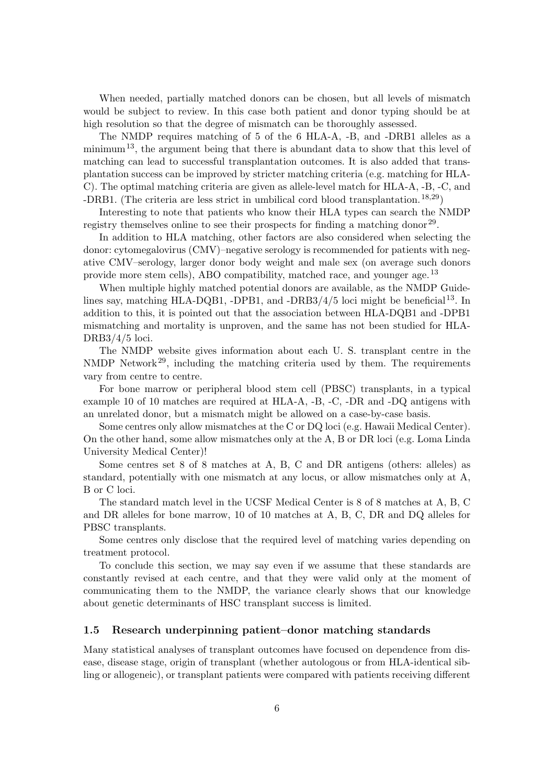When needed, partially matched donors can be chosen, but all levels of mismatch would be subject to review. In this case both patient and donor typing should be at high resolution so that the degree of mismatch can be thoroughly assessed.

The NMDP requires matching of 5 of the 6 HLA-A, -B, and -DRB1 alleles as a minimum<sup>13</sup>, the argument being that there is abundant data to show that this level of matching can lead to successful transplantation outcomes. It is also added that transplantation success can be improved by stricter matching criteria (e.g. matching for HLA-C). The optimal matching criteria are given as allele-level match for HLA-A, -B, -C, and -DRB1. (The criteria are less strict in umbilical cord blood transplantation.<sup>18,29</sup>)

Interesting to note that patients who know their HLA types can search the NMDP registry themselves online to see their prospects for finding a matching donor<sup>29</sup>.

In addition to HLA matching, other factors are also considered when selecting the donor: cytomegalovirus (CMV)–negative serology is recommended for patients with negative CMV–serology, larger donor body weight and male sex (on average such donors provide more stem cells), ABO compatibility, matched race, and younger age.<sup>13</sup>

When multiple highly matched potential donors are available, as the NMDP Guidelines say, matching HLA-DQB1, -DPB1, and -DRB3/4/5 loci might be beneficial<sup>13</sup>. In addition to this, it is pointed out that the association between HLA-DQB1 and -DPB1 mismatching and mortality is unproven, and the same has not been studied for HLA-DRB3/4/5 loci.

The NMDP website gives information about each U. S. transplant centre in the NMDP Network<sup>29</sup>, including the matching criteria used by them. The requirements vary from centre to centre.

For bone marrow or peripheral blood stem cell (PBSC) transplants, in a typical example 10 of 10 matches are required at HLA-A, -B, -C, -DR and -DQ antigens with an unrelated donor, but a mismatch might be allowed on a case-by-case basis.

Some centres only allow mismatches at the C or DQ loci (e.g. Hawaii Medical Center). On the other hand, some allow mismatches only at the A, B or DR loci (e.g. Loma Linda University Medical Center)!

Some centres set 8 of 8 matches at A, B, C and DR antigens (others: alleles) as standard, potentially with one mismatch at any locus, or allow mismatches only at A, B or C loci.

The standard match level in the UCSF Medical Center is 8 of 8 matches at A, B, C and DR alleles for bone marrow, 10 of 10 matches at A, B, C, DR and DQ alleles for PBSC transplants.

Some centres only disclose that the required level of matching varies depending on treatment protocol.

To conclude this section, we may say even if we assume that these standards are constantly revised at each centre, and that they were valid only at the moment of communicating them to the NMDP, the variance clearly shows that our knowledge about genetic determinants of HSC transplant success is limited.

#### 1.5 Research underpinning patient–donor matching standards

Many statistical analyses of transplant outcomes have focused on dependence from disease, disease stage, origin of transplant (whether autologous or from HLA-identical sibling or allogeneic), or transplant patients were compared with patients receiving different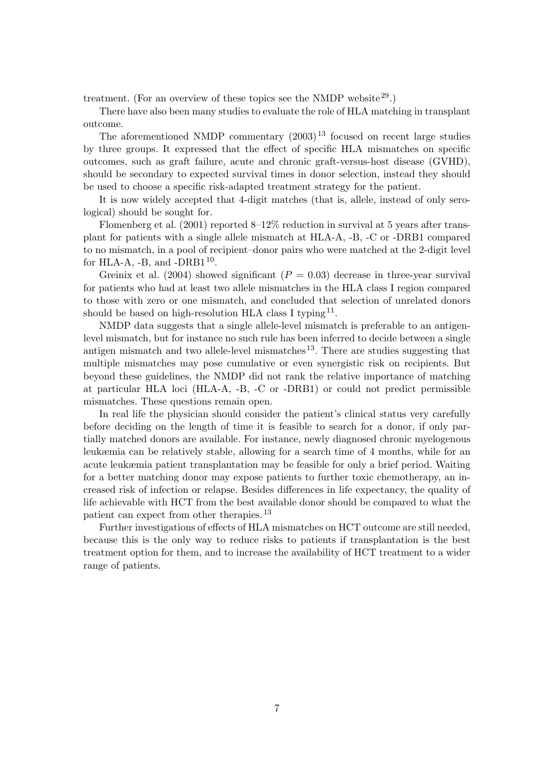treatment. (For an overview of these topics see the NMDP website  $29$ .)

There have also been many studies to evaluate the role of HLA matching in transplant outcome.

The aforementioned NMDP commentary  $(2003)^{13}$  focused on recent large studies by three groups. It expressed that the effect of specific HLA mismatches on specific outcomes, such as graft failure, acute and chronic graft-versus-host disease (GVHD), should be secondary to expected survival times in donor selection, instead they should be used to choose a specific risk-adapted treatment strategy for the patient.

It is now widely accepted that 4-digit matches (that is, allele, instead of only serological) should be sought for.

Flomenberg et al. (2001) reported 8–12% reduction in survival at 5 years after transplant for patients with a single allele mismatch at HLA-A, -B, -C or -DRB1 compared to no mismatch, in a pool of recipient–donor pairs who were matched at the 2-digit level for HLA-A,  $-B$ , and  $-DRB1^{10}$ .

Greinix et al. (2004) showed significant ( $P = 0.03$ ) decrease in three-year survival for patients who had at least two allele mismatches in the HLA class I region compared to those with zero or one mismatch, and concluded that selection of unrelated donors should be based on high-resolution HLA class I typing<sup>11</sup>.

NMDP data suggests that a single allele-level mismatch is preferable to an antigenlevel mismatch, but for instance no such rule has been inferred to decide between a single antigen mismatch and two allele-level mismatches<sup>13</sup>. There are studies suggesting that multiple mismatches may pose cumulative or even synergistic risk on recipients. But beyond these guidelines, the NMDP did not rank the relative importance of matching at particular HLA loci (HLA-A, -B, -C or -DRB1) or could not predict permissible mismatches. These questions remain open.

In real life the physician should consider the patient's clinical status very carefully before deciding on the length of time it is feasible to search for a donor, if only partially matched donors are available. For instance, newly diagnosed chronic myelogenous leukæmia can be relatively stable, allowing for a search time of 4 months, while for an acute leukæmia patient transplantation may be feasible for only a brief period. Waiting for a better matching donor may expose patients to further toxic chemotherapy, an increased risk of infection or relapse. Besides differences in life expectancy, the quality of life achievable with HCT from the best available donor should be compared to what the patient can expect from other therapies.<sup>13</sup>

Further investigations of effects of HLA mismatches on HCT outcome are still needed, because this is the only way to reduce risks to patients if transplantation is the best treatment option for them, and to increase the availability of HCT treatment to a wider range of patients.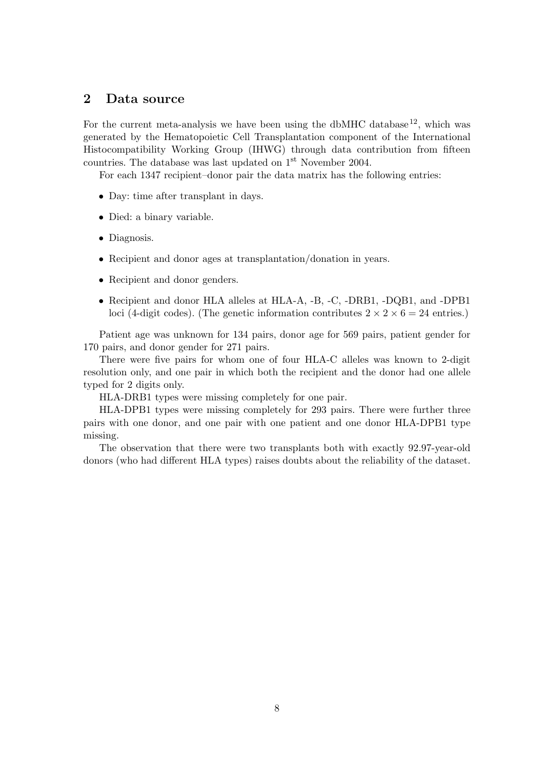# 2 Data source

For the current meta-analysis we have been using the dbMHC database<sup>12</sup>, which was generated by the Hematopoietic Cell Transplantation component of the International Histocompatibility Working Group (IHWG) through data contribution from fifteen countries. The database was last updated on 1<sup>st</sup> November 2004.

For each 1347 recipient–donor pair the data matrix has the following entries:

- Day: time after transplant in days.
- Died: a binary variable.
- Diagnosis.
- Recipient and donor ages at transplantation/donation in years.
- Recipient and donor genders.
- Recipient and donor HLA alleles at HLA-A, -B, -C, -DRB1, -DQB1, and -DPB1 loci (4-digit codes). (The genetic information contributes  $2 \times 2 \times 6 = 24$  entries.)

Patient age was unknown for 134 pairs, donor age for 569 pairs, patient gender for 170 pairs, and donor gender for 271 pairs.

There were five pairs for whom one of four HLA-C alleles was known to 2-digit resolution only, and one pair in which both the recipient and the donor had one allele typed for 2 digits only.

HLA-DRB1 types were missing completely for one pair.

HLA-DPB1 types were missing completely for 293 pairs. There were further three pairs with one donor, and one pair with one patient and one donor HLA-DPB1 type missing.

The observation that there were two transplants both with exactly 92.97-year-old donors (who had different HLA types) raises doubts about the reliability of the dataset.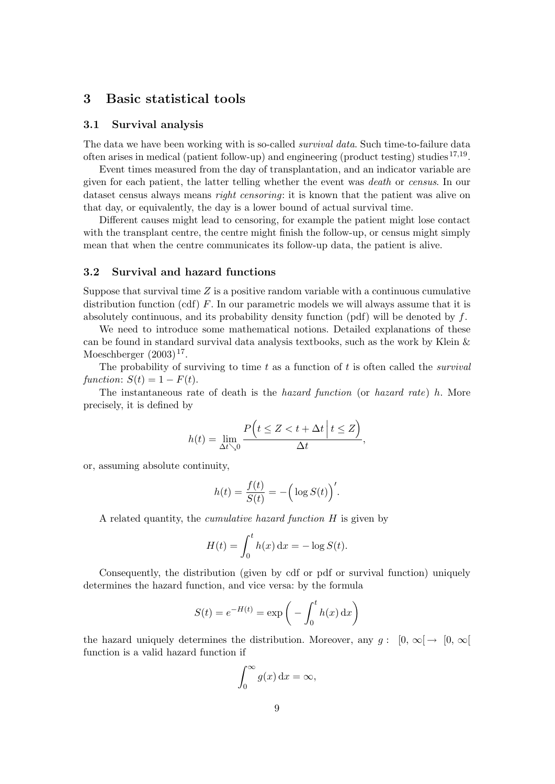# 3 Basic statistical tools

#### 3.1 Survival analysis

The data we have been working with is so-called *survival data*. Such time-to-failure data often arises in medical (patient follow-up) and engineering (product testing) studies<sup>17,19</sup>.

Event times measured from the day of transplantation, and an indicator variable are given for each patient, the latter telling whether the event was death or census. In our dataset census always means *right censoring*: it is known that the patient was alive on that day, or equivalently, the day is a lower bound of actual survival time.

Different causes might lead to censoring, for example the patient might lose contact with the transplant centre, the centre might finish the follow-up, or census might simply mean that when the centre communicates its follow-up data, the patient is alive.

#### 3.2 Survival and hazard functions

Suppose that survival time  $Z$  is a positive random variable with a continuous cumulative distribution function  $(cdf)$  F. In our parametric models we will always assume that it is absolutely continuous, and its probability density function  $(pdf)$  will be denoted by f.

We need to introduce some mathematical notions. Detailed explanations of these can be found in standard survival data analysis textbooks, such as the work by Klein & Moeschberger  $(2003)^{17}$ .

The probability of surviving to time t as a function of t is often called the *survival* function:  $S(t) = 1 - F(t)$ .

The instantaneous rate of death is the hazard function (or hazard rate) h. More precisely, it is defined by

$$
h(t) = \lim_{\Delta t \searrow 0} \frac{P\left(t \le Z < t + \Delta t \middle| t \le Z\right)}{\Delta t},
$$

or, assuming absolute continuity,

$$
h(t) = \frac{f(t)}{S(t)} = -\Big(\log S(t)\Big)'.
$$

A related quantity, the cumulative hazard function H is given by

$$
H(t) = \int_0^t h(x) dx = -\log S(t).
$$

Consequently, the distribution (given by cdf or pdf or survival function) uniquely determines the hazard function, and vice versa: by the formula

$$
S(t) = e^{-H(t)} = \exp\left(-\int_0^t h(x) dx\right)
$$

the hazard uniquely determines the distribution. Moreover, any  $q: [0, \infty) \rightarrow [0, \infty)$ function is a valid hazard function if

$$
\int_0^\infty g(x) \, \mathrm{d}x = \infty,
$$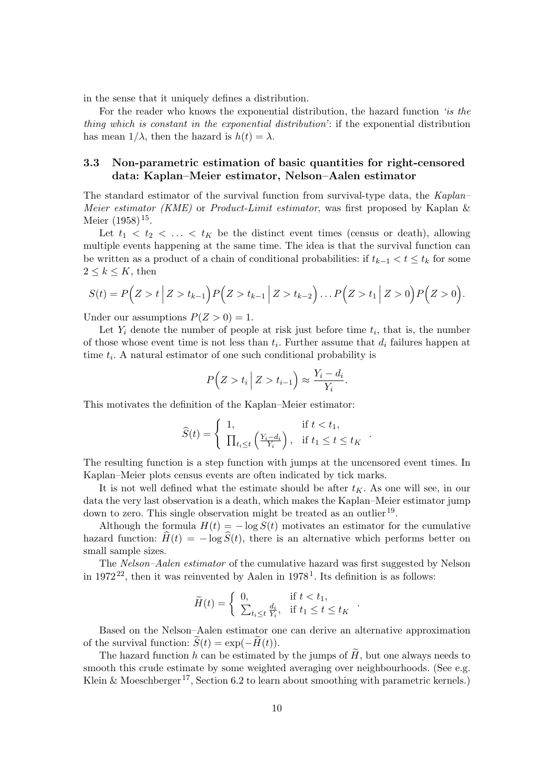in the sense that it uniquely defines a distribution.

For the reader who knows the exponential distribution, the hazard function 'is the thing which is constant in the exponential distribution': if the exponential distribution has mean  $1/\lambda$ , then the hazard is  $h(t) = \lambda$ .

#### 3.3 Non-parametric estimation of basic quantities for right-censored data: Kaplan–Meier estimator, Nelson–Aalen estimator

The standard estimator of the survival function from survival-type data, the Kaplan– Meier estimator (KME) or Product-Limit estimator, was first proposed by Kaplan & Meier  $(1958)^{15}$ .

Let  $t_1 < t_2 < \ldots < t_K$  be the distinct event times (census or death), allowing multiple events happening at the same time. The idea is that the survival function can be written as a product of a chain of conditional probabilities: if  $t_{k-1} < t \leq t_k$  for some  $2 \leq k \leq K$ , then

$$
S(t) = P(Z > t | Z > t_{k-1}) P(Z > t_{k-1} | Z > t_{k-2}) ... P(Z > t_1 | Z > 0) P(Z > 0).
$$

Under our assumptions  $P(Z > 0) = 1$ .

Let  $Y_i$  denote the number of people at risk just before time  $t_i$ , that is, the number of those whose event time is not less than  $t_i$ . Further assume that  $d_i$  failures happen at time  $t_i$ . A natural estimator of one such conditional probability is

$$
P(Z > t_i | Z > t_{i-1}) \approx \frac{Y_i - d_i}{Y_i}.
$$

This motivates the definition of the Kaplan–Meier estimator:

$$
\widehat{S}(t) = \begin{cases} 1, & \text{if } t < t_1, \\ \prod_{t_i \le t} \left( \frac{Y_i - d_i}{Y_i} \right), & \text{if } t_1 \le t \le t_K \end{cases}
$$

.

.

The resulting function is a step function with jumps at the uncensored event times. In Kaplan–Meier plots census events are often indicated by tick marks.

It is not well defined what the estimate should be after  $t_K$ . As one will see, in our data the very last observation is a death, which makes the Kaplan–Meier estimator jump down to zero. This single observation might be treated as an outlier<sup>19</sup>.

Although the formula  $H(t) = -\log S(t)$  motivates an estimator for the cumulative hazard function:  $\widehat{H}(t) = -\log \widehat{S}(t)$ , there is an alternative which performs better on small sample sizes.

The Nelson–Aalen estimator of the cumulative hazard was first suggested by Nelson in 1972<sup>22</sup>, then it was reinvented by Aalen in 1978<sup>1</sup>. Its definition is as follows:

$$
\widetilde{H}(t) = \begin{cases} 0, & \text{if } t < t_1, \\ \sum_{t_i \le t} \frac{d_i}{Y_i}, & \text{if } t_1 \le t \le t_K \end{cases}
$$

Based on the Nelson–Aalen estimator one can derive an alternative approximation of the survival function:  $S(t) = \exp(-H(t)).$ 

The hazard function h can be estimated by the jumps of  $H$ , but one always needs to smooth this crude estimate by some weighted averaging over neighbourhoods. (See e.g. Klein & Moeschberger<sup>17</sup>, Section 6.2 to learn about smoothing with parametric kernels.)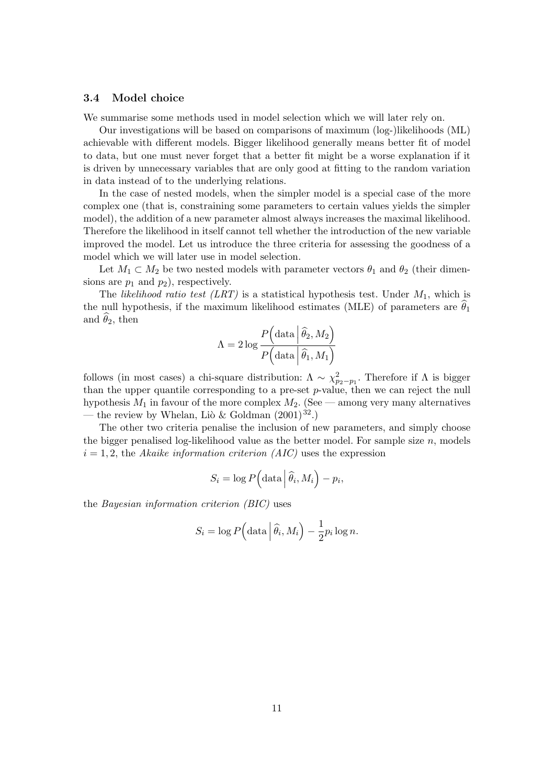#### 3.4 Model choice

We summarise some methods used in model selection which we will later rely on.

Our investigations will be based on comparisons of maximum (log-)likelihoods (ML) achievable with different models. Bigger likelihood generally means better fit of model to data, but one must never forget that a better fit might be a worse explanation if it is driven by unnecessary variables that are only good at fitting to the random variation in data instead of to the underlying relations.

In the case of nested models, when the simpler model is a special case of the more complex one (that is, constraining some parameters to certain values yields the simpler model), the addition of a new parameter almost always increases the maximal likelihood. Therefore the likelihood in itself cannot tell whether the introduction of the new variable improved the model. Let us introduce the three criteria for assessing the goodness of a model which we will later use in model selection.

Let  $M_1 \subset M_2$  be two nested models with parameter vectors  $\theta_1$  and  $\theta_2$  (their dimensions are  $p_1$  and  $p_2$ ), respectively.

The likelihood ratio test (LRT) is a statistical hypothesis test. Under  $M_1$ , which is the null hypothesis, if the maximum likelihood estimates (MLE) of parameters are  $\hat{\theta}_1$ and  $\theta_2$ , then

$$
\Lambda = 2 \log \frac{P\left(\text{data} \middle| \widehat{\theta}_2, M_2\right)}{P\left(\text{data} \middle| \widehat{\theta}_1, M_1\right)}
$$

follows (in most cases) a chi-square distribution:  $\Lambda \sim \chi^2_{p_2-p_1}$ . Therefore if  $\Lambda$  is bigger than the upper quantile corresponding to a pre-set p-value, then we can reject the null hypothesis  $M_1$  in favour of the more complex  $M_2$ . (See — among very many alternatives — the review by Whelan, Liò & Goldman  $(2001)^{32}$ .)

The other two criteria penalise the inclusion of new parameters, and simply choose the bigger penalised log-likelihood value as the better model. For sample size  $n$ , models  $i = 1, 2$ , the Akaike information criterion (AIC) uses the expression

$$
S_i = \log P\Big(\text{data}\Big|\widehat{\theta}_i, M_i\Big) - p_i,
$$

the Bayesian information criterion (BIC) uses

$$
S_i = \log P\left(\text{data}\left|\hat{\theta}_i, M_i\right.\right) - \frac{1}{2}p_i\log n.
$$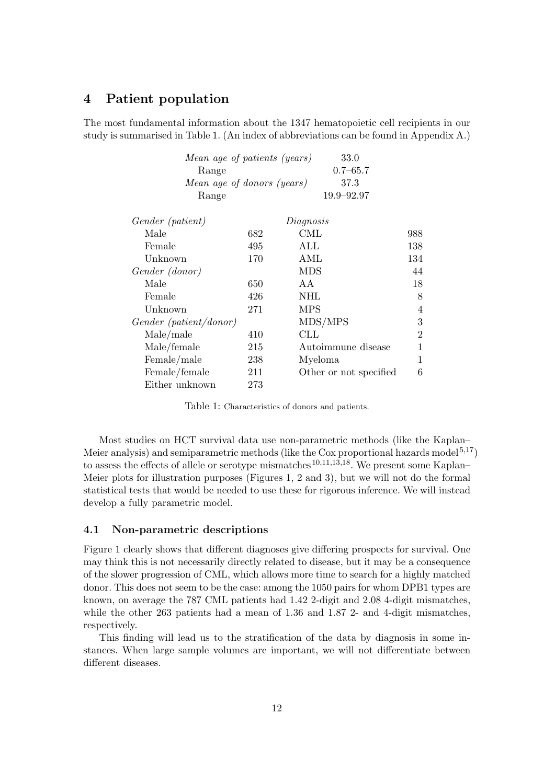# 4 Patient population

The most fundamental information about the 1347 hematopoietic cell recipients in our study is summarised in Table 1. (An index of abbreviations can be found in Appendix A.)

| Mean age of patients (years) |     | 33.0                   |                |
|------------------------------|-----|------------------------|----------------|
| Range                        |     | $0.7 - 65.7$           |                |
| Mean age of donors (years)   |     | 37.3                   |                |
| Range                        |     | 19.9-92.97             |                |
| Gender (patient)             |     | Diagnosis              |                |
| Male                         | 682 | CML                    | 988            |
| Female                       | 495 | ALL                    | 138            |
| Unknown                      | 170 | AML                    | 134            |
| Gender (donor)               |     | <b>MDS</b>             | 44             |
| Male                         | 650 | A A                    | 18             |
| Female                       | 426 | NHL                    | 8              |
| Unknown                      | 271 | <b>MPS</b>             | 4              |
| Gender (patient/donor)       |     | MDS/MPS                | 3              |
| Male/male                    | 410 | $_{\rm CLL}$           | $\overline{2}$ |
| Male/female                  | 215 | Autoimmune disease     | 1              |
| Female/male                  | 238 | Myeloma                | 1              |
| Female/female                | 211 | Other or not specified | 6              |
| Either unknown               | 273 |                        |                |

Table 1: Characteristics of donors and patients.

Most studies on HCT survival data use non-parametric methods (like the Kaplan– Meier analysis) and semiparametric methods (like the Cox proportional hazards model<sup>5,17</sup>) to assess the effects of allele or serotype mismatches<sup>10,11,13,18</sup>. We present some Kaplan– Meier plots for illustration purposes (Figures 1, 2 and 3), but we will not do the formal statistical tests that would be needed to use these for rigorous inference. We will instead develop a fully parametric model.

#### 4.1 Non-parametric descriptions

Figure 1 clearly shows that different diagnoses give differing prospects for survival. One may think this is not necessarily directly related to disease, but it may be a consequence of the slower progression of CML, which allows more time to search for a highly matched donor. This does not seem to be the case: among the 1050 pairs for whom DPB1 types are known, on average the 787 CML patients had 1.42 2-digit and 2.08 4-digit mismatches, while the other 263 patients had a mean of 1.36 and 1.87 2- and 4-digit mismatches, respectively.

This finding will lead us to the stratification of the data by diagnosis in some instances. When large sample volumes are important, we will not differentiate between different diseases.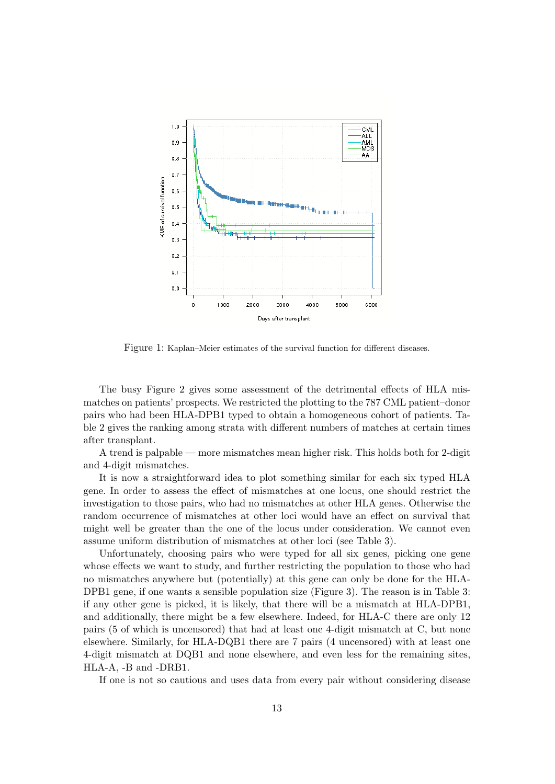

Figure 1: Kaplan–Meier estimates of the survival function for different diseases.

The busy Figure 2 gives some assessment of the detrimental effects of HLA mismatches on patients' prospects. We restricted the plotting to the 787 CML patient–donor pairs who had been HLA-DPB1 typed to obtain a homogeneous cohort of patients. Table 2 gives the ranking among strata with different numbers of matches at certain times after transplant.

A trend is palpable — more mismatches mean higher risk. This holds both for 2-digit and 4-digit mismatches.

It is now a straightforward idea to plot something similar for each six typed HLA gene. In order to assess the effect of mismatches at one locus, one should restrict the investigation to those pairs, who had no mismatches at other HLA genes. Otherwise the random occurrence of mismatches at other loci would have an effect on survival that might well be greater than the one of the locus under consideration. We cannot even assume uniform distribution of mismatches at other loci (see Table 3).

Unfortunately, choosing pairs who were typed for all six genes, picking one gene whose effects we want to study, and further restricting the population to those who had no mismatches anywhere but (potentially) at this gene can only be done for the HLA-DPB1 gene, if one wants a sensible population size (Figure 3). The reason is in Table 3: if any other gene is picked, it is likely, that there will be a mismatch at HLA-DPB1, and additionally, there might be a few elsewhere. Indeed, for HLA-C there are only 12 pairs (5 of which is uncensored) that had at least one 4-digit mismatch at C, but none elsewhere. Similarly, for HLA-DQB1 there are 7 pairs (4 uncensored) with at least one 4-digit mismatch at DQB1 and none elsewhere, and even less for the remaining sites, HLA-A, -B and -DRB1.

If one is not so cautious and uses data from every pair without considering disease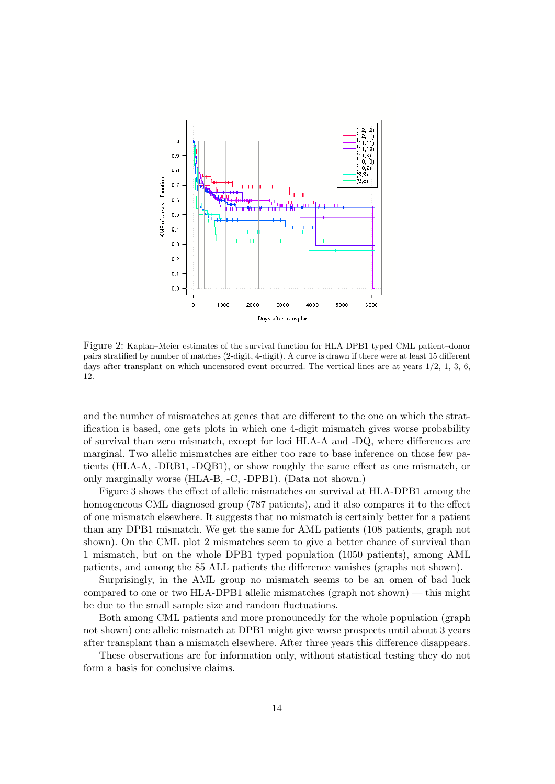

Figure 2: Kaplan–Meier estimates of the survival function for HLA-DPB1 typed CML patient–donor pairs stratified by number of matches (2-digit, 4-digit). A curve is drawn if there were at least 15 different days after transplant on which uncensored event occurred. The vertical lines are at years  $1/2$ , 1, 3, 6, 12.

and the number of mismatches at genes that are different to the one on which the stratification is based, one gets plots in which one 4-digit mismatch gives worse probability of survival than zero mismatch, except for loci HLA-A and -DQ, where differences are marginal. Two allelic mismatches are either too rare to base inference on those few patients (HLA-A, -DRB1, -DQB1), or show roughly the same effect as one mismatch, or only marginally worse (HLA-B, -C, -DPB1). (Data not shown.)

Figure 3 shows the effect of allelic mismatches on survival at HLA-DPB1 among the homogeneous CML diagnosed group (787 patients), and it also compares it to the effect of one mismatch elsewhere. It suggests that no mismatch is certainly better for a patient than any DPB1 mismatch. We get the same for AML patients (108 patients, graph not shown). On the CML plot 2 mismatches seem to give a better chance of survival than 1 mismatch, but on the whole DPB1 typed population (1050 patients), among AML patients, and among the 85 ALL patients the difference vanishes (graphs not shown).

Surprisingly, in the AML group no mismatch seems to be an omen of bad luck compared to one or two HLA-DPB1 allelic mismatches (graph not shown) — this might be due to the small sample size and random fluctuations.

Both among CML patients and more pronouncedly for the whole population (graph not shown) one allelic mismatch at DPB1 might give worse prospects until about 3 years after transplant than a mismatch elsewhere. After three years this difference disappears.

These observations are for information only, without statistical testing they do not form a basis for conclusive claims.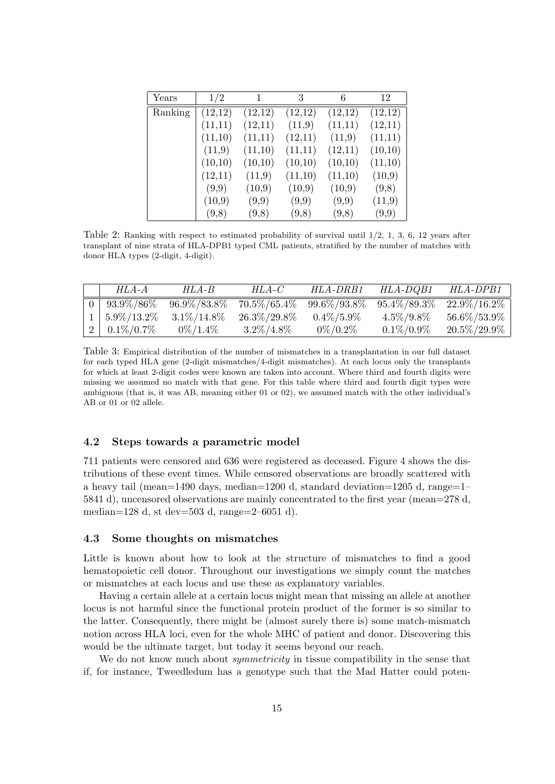| Years   | 1/2     | 1       | 3       | 6       | 12      |
|---------|---------|---------|---------|---------|---------|
| Ranking | (12,12) | (12,12) | (12,12) | (12,12) | (12,12) |
|         | (11,11) | (12,11) | (11,9)  | (11,11) | (12,11) |
|         | (11,10) | (11,11) | (12,11) | (11,9)  | (11,11) |
|         | (11,9)  | (11,10) | (11,11) | (12,11) | (10,10) |
|         | (10,10) | (10,10) | (10,10) | (10,10) | (11,10) |
|         | (12,11) | (11,9)  | (11,10) | (11,10) | (10,9)  |
|         | (9,9)   | (10,9)  | (10,9)  | (10,9)  | (9,8)   |
|         | (10,9)  | (9,9)   | (9,9)   | (9,9)   | (11,9)  |
|         | (9,8)   | (9,8)   | (9,8)   | (9,8)   | (9,9)   |

Table 2: Ranking with respect to estimated probability of survival until 1/2, 1, 3, 6, 12 years after transplant of nine strata of HLA-DPB1 typed CML patients, stratified by the number of matches with donor HLA types (2-digit, 4-digit).

| HLA-A                 | HLA-B           | $HLA-C$         | HLA-DRB1        | HLA-DQB1        | HLA-DPB1        |
|-----------------------|-----------------|-----------------|-----------------|-----------------|-----------------|
| $0   93.9\% / 86\%$   | $96.9\%/83.8\%$ | $70.5\%/65.4\%$ | $99.6\%/93.8\%$ | $95.4\%/89.3\%$ | $22.9\%/16.2\%$ |
| $1 \mid 5.9\%/13.2\%$ | $3.1\%/14.8\%$  | $26.3\%/29.8\%$ | $0.4\%/5.9\%$   | $4.5\%/9.8\%$   | $56.6\%/53.9\%$ |
| $2 \mid 0.1\%/0.7\%$  | $0\%/1.4\%$     | $3.2\%/4.8\%$   | $0\%/0.2\%$     | $0.1\%/0.9\%$   | $20.5\%/29.9\%$ |

Table 3: Empirical distribution of the number of mismatches in a transplantation in our full dataset for each typed HLA gene (2-digit mismatches/4-digit mismatches). At each locus only the transplants for which at least 2-digit codes were known are taken into account. Where third and fourth digits were missing we assumed no match with that gene. For this table where third and fourth digit types were ambiguous (that is, it was AB, meaning either 01 or 02), we assumed match with the other individual's AB or 01 or 02 allele.

#### 4.2 Steps towards a parametric model

711 patients were censored and 636 were registered as deceased. Figure 4 shows the distributions of these event times. While censored observations are broadly scattered with a heavy tail (mean=1490 days, median=1200 d, standard deviation=1205 d, range=1– 5841 d), uncensored observations are mainly concentrated to the first year (mean=278 d, median=128 d, st dev=503 d, range=2–6051 d).

#### 4.3 Some thoughts on mismatches

Little is known about how to look at the structure of mismatches to find a good hematopoietic cell donor. Throughout our investigations we simply count the matches or mismatches at each locus and use these as explanatory variables.

Having a certain allele at a certain locus might mean that missing an allele at another locus is not harmful since the functional protein product of the former is so similar to the latter. Consequently, there might be (almost surely there is) some match-mismatch notion across HLA loci, even for the whole MHC of patient and donor. Discovering this would be the ultimate target, but today it seems beyond our reach.

We do not know much about *symmetricity* in tissue compatibility in the sense that if, for instance, Tweedledum has a genotype such that the Mad Hatter could poten-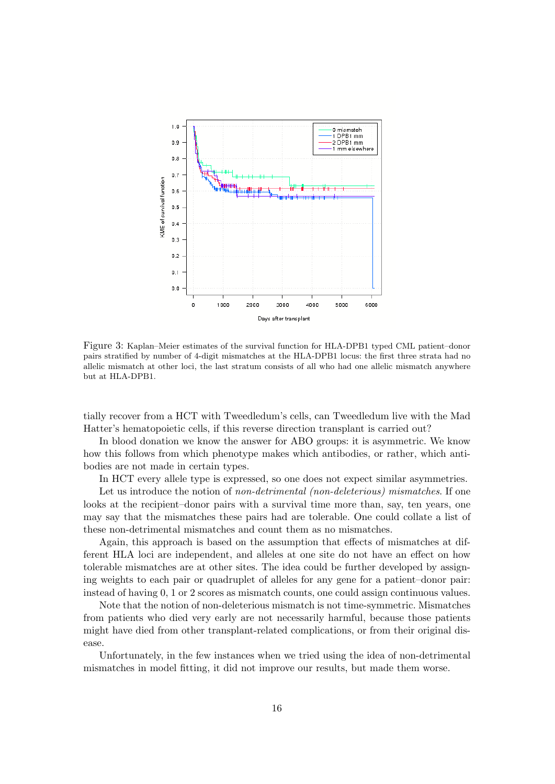

Figure 3: Kaplan–Meier estimates of the survival function for HLA-DPB1 typed CML patient–donor pairs stratified by number of 4-digit mismatches at the HLA-DPB1 locus: the first three strata had no allelic mismatch at other loci, the last stratum consists of all who had one allelic mismatch anywhere but at HLA-DPB1.

tially recover from a HCT with Tweedledum's cells, can Tweedledum live with the Mad Hatter's hematopoietic cells, if this reverse direction transplant is carried out?

In blood donation we know the answer for ABO groups: it is asymmetric. We know how this follows from which phenotype makes which antibodies, or rather, which antibodies are not made in certain types.

In HCT every allele type is expressed, so one does not expect similar asymmetries.

Let us introduce the notion of non-detrimental (non-deleterious) mismatches. If one looks at the recipient–donor pairs with a survival time more than, say, ten years, one may say that the mismatches these pairs had are tolerable. One could collate a list of these non-detrimental mismatches and count them as no mismatches.

Again, this approach is based on the assumption that effects of mismatches at different HLA loci are independent, and alleles at one site do not have an effect on how tolerable mismatches are at other sites. The idea could be further developed by assigning weights to each pair or quadruplet of alleles for any gene for a patient–donor pair: instead of having 0, 1 or 2 scores as mismatch counts, one could assign continuous values.

Note that the notion of non-deleterious mismatch is not time-symmetric. Mismatches from patients who died very early are not necessarily harmful, because those patients might have died from other transplant-related complications, or from their original disease.

Unfortunately, in the few instances when we tried using the idea of non-detrimental mismatches in model fitting, it did not improve our results, but made them worse.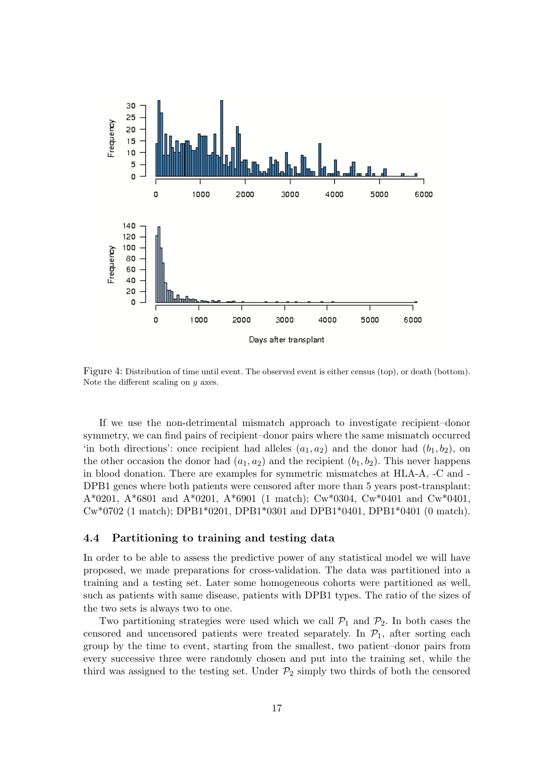

Figure 4: Distribution of time until event. The observed event is either census (top), or death (bottom). Note the different scaling on  $y$  axes.

If we use the non-detrimental mismatch approach to investigate recipient–donor symmetry, we can find pairs of recipient–donor pairs where the same mismatch occurred 'in both directions': once recipient had alleles  $(a_1, a_2)$  and the donor had  $(b_1, b_2)$ , on the other occasion the donor had  $(a_1, a_2)$  and the recipient  $(b_1, b_2)$ . This never happens in blood donation. There are examples for symmetric mismatches at HLA-A, -C and - DPB1 genes where both patients were censored after more than 5 years post-transplant: A\*0201, A\*6801 and A\*0201, A\*6901 (1 match); Cw\*0304, Cw\*0401 and Cw\*0401, Cw\*0702 (1 match); DPB1\*0201, DPB1\*0301 and DPB1\*0401, DPB1\*0401 (0 match).

#### 4.4 Partitioning to training and testing data

In order to be able to assess the predictive power of any statistical model we will have proposed, we made preparations for cross-validation. The data was partitioned into a training and a testing set. Later some homogeneous cohorts were partitioned as well, such as patients with same disease, patients with DPB1 types. The ratio of the sizes of the two sets is always two to one.

Two partitioning strategies were used which we call  $\mathcal{P}_1$  and  $\mathcal{P}_2$ . In both cases the censored and uncensored patients were treated separately. In  $\mathcal{P}_1$ , after sorting each group by the time to event, starting from the smallest, two patient–donor pairs from every successive three were randomly chosen and put into the training set, while the third was assigned to the testing set. Under  $\mathcal{P}_2$  simply two thirds of both the censored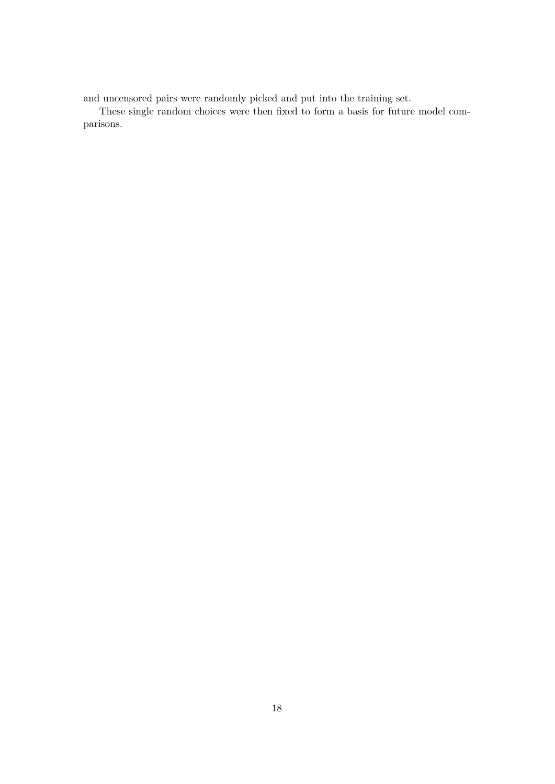and uncensored pairs were randomly picked and put into the training set.

These single random choices were then fixed to form a basis for future model comparisons.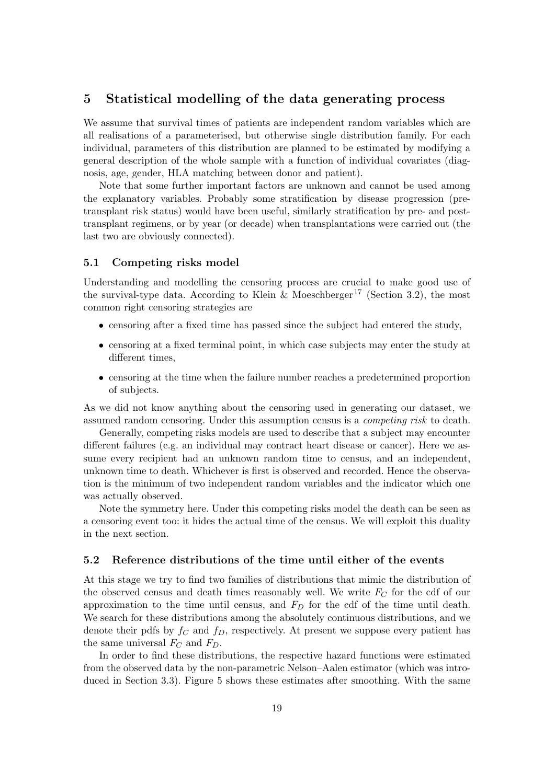## 5 Statistical modelling of the data generating process

We assume that survival times of patients are independent random variables which are all realisations of a parameterised, but otherwise single distribution family. For each individual, parameters of this distribution are planned to be estimated by modifying a general description of the whole sample with a function of individual covariates (diagnosis, age, gender, HLA matching between donor and patient).

Note that some further important factors are unknown and cannot be used among the explanatory variables. Probably some stratification by disease progression (pretransplant risk status) would have been useful, similarly stratification by pre- and posttransplant regimens, or by year (or decade) when transplantations were carried out (the last two are obviously connected).

#### 5.1 Competing risks model

Understanding and modelling the censoring process are crucial to make good use of the survival-type data. According to Klein & Moeschberger<sup>17</sup> (Section 3.2), the most common right censoring strategies are

- censoring after a fixed time has passed since the subject had entered the study,
- censoring at a fixed terminal point, in which case subjects may enter the study at different times,
- censoring at the time when the failure number reaches a predetermined proportion of subjects.

As we did not know anything about the censoring used in generating our dataset, we assumed random censoring. Under this assumption census is a competing risk to death.

Generally, competing risks models are used to describe that a subject may encounter different failures (e.g. an individual may contract heart disease or cancer). Here we assume every recipient had an unknown random time to census, and an independent, unknown time to death. Whichever is first is observed and recorded. Hence the observation is the minimum of two independent random variables and the indicator which one was actually observed.

Note the symmetry here. Under this competing risks model the death can be seen as a censoring event too: it hides the actual time of the census. We will exploit this duality in the next section.

#### 5.2 Reference distributions of the time until either of the events

At this stage we try to find two families of distributions that mimic the distribution of the observed census and death times reasonably well. We write  $F_C$  for the cdf of our approximation to the time until census, and  $F<sub>D</sub>$  for the cdf of the time until death. We search for these distributions among the absolutely continuous distributions, and we denote their pdfs by  $f_C$  and  $f_D$ , respectively. At present we suppose every patient has the same universal  $F_C$  and  $F_D$ .

In order to find these distributions, the respective hazard functions were estimated from the observed data by the non-parametric Nelson–Aalen estimator (which was introduced in Section 3.3). Figure 5 shows these estimates after smoothing. With the same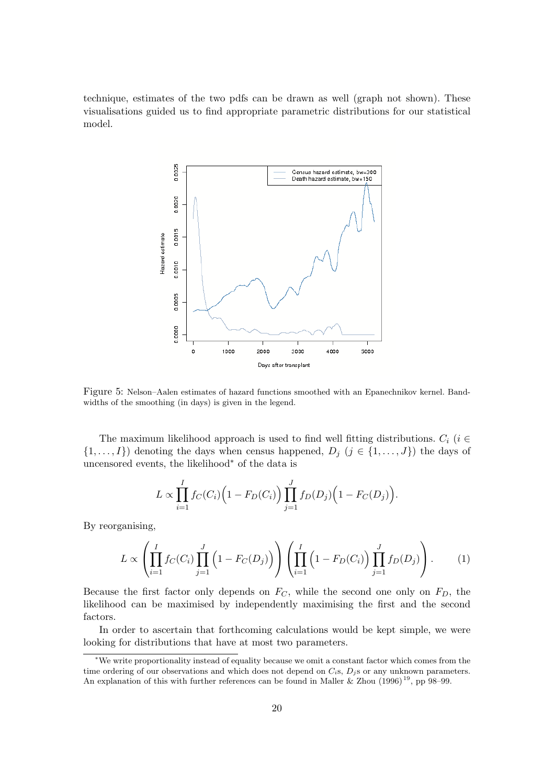technique, estimates of the two pdfs can be drawn as well (graph not shown). These visualisations guided us to find appropriate parametric distributions for our statistical model.



Figure 5: Nelson–Aalen estimates of hazard functions smoothed with an Epanechnikov kernel. Bandwidths of the smoothing (in days) is given in the legend.

The maximum likelihood approach is used to find well fitting distributions.  $C_i$  (i  $\in$  $\{1,\ldots,I\}$  denoting the days when census happened,  $D_j$   $(j \in \{1,\ldots,J\})$  the days of uncensored events, the likelihood<sup>∗</sup> of the data is

$$
L \propto \prod_{i=1}^{I} f_C(C_i) \Big( 1 - F_D(C_i) \Big) \prod_{j=1}^{J} f_D(D_j) \Big( 1 - F_C(D_j) \Big).
$$

By reorganising,

$$
L \propto \left( \prod_{i=1}^{I} f_C(C_i) \prod_{j=1}^{J} \left( 1 - F_C(D_j) \right) \right) \left( \prod_{i=1}^{I} \left( 1 - F_D(C_i) \right) \prod_{j=1}^{J} f_D(D_j) \right). \tag{1}
$$

Because the first factor only depends on  $F_C$ , while the second one only on  $F_D$ , the likelihood can be maximised by independently maximising the first and the second factors.

In order to ascertain that forthcoming calculations would be kept simple, we were looking for distributions that have at most two parameters.

<sup>∗</sup>We write proportionality instead of equality because we omit a constant factor which comes from the time ordering of our observations and which does not depend on  $C_i$ s,  $D_i$ s or any unknown parameters. An explanation of this with further references can be found in Maller & Zhou  $(1996)^{19}$ , pp 98–99.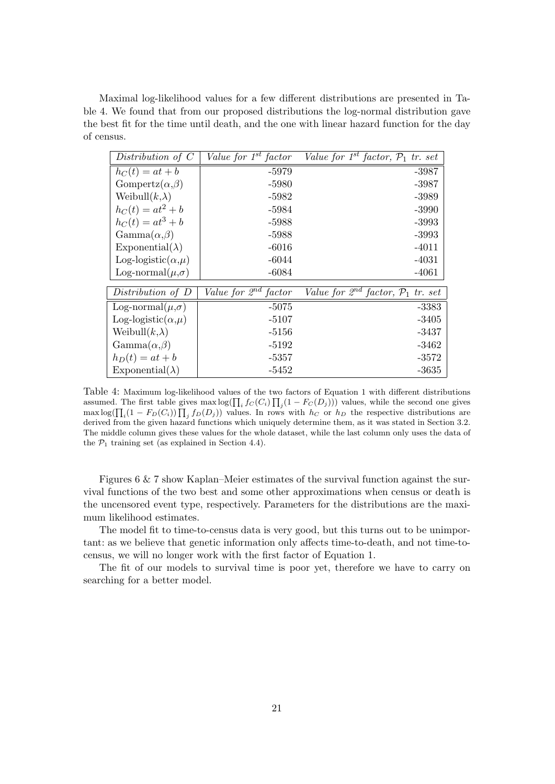Maximal log-likelihood values for a few different distributions are presented in Table 4. We found that from our proposed distributions the log-normal distribution gave the best fit for the time until death, and the one with linear hazard function for the day of census.

| Distribution of $C$          | Value for $1^{st}$ factor | Value for $1^{st}$ factor, $\mathcal{P}_1$ tr. set |
|------------------------------|---------------------------|----------------------------------------------------|
| $h_C(t) = at + b$            | -5979                     | -3987                                              |
| Gompertz $(\alpha,\beta)$    | $-5980$                   | $-3987$                                            |
| Weibull $(k,\lambda)$        | $-5982$                   | $-3989$                                            |
| $h_C(t) = at^2 + b$          | -5984                     | $-3990$                                            |
| $h_C(t) = at^3 + b$          | $-5988$                   | $-3993$                                            |
| $\text{Gamma}(\alpha,\beta)$ | -5988                     | $-3993$                                            |
| Exponential( $\lambda$ )     | $-6016$                   | $-4011$                                            |
| Log-logistic( $\alpha,\mu$ ) | $-6044$                   | $-4031$                                            |
| Log-normal $(\mu,\sigma)$    | $-6084$                   | $-4061$                                            |
| Distribution of D            | Value for $2^{nd}$ factor | Value for $2^{nd}$ factor, $P_1$ tr. set           |
| Log-normal $(\mu,\sigma)$    | $-5075$                   | -3383                                              |
| Log-logistic( $\alpha,\mu$ ) | $-5107$                   | -3405                                              |
| Weibull $(k,\lambda)$        | $-5156$                   | -3437                                              |
| $\text{Gamma}(\alpha,\beta)$ | -5192                     | -3462                                              |
| $h_D(t) = at + b$            | $-5357$                   | $-3572$                                            |
| Exponential( $\lambda$ )     | $-5452$                   | $-3635$                                            |

Table 4: Maximum log-likelihood values of the two factors of Equation 1 with different distributions assumed. The first table gives  $\max \log(\prod_i f_C(C_i) \prod_j (1 - F_C(D_j)))$  values, while the second one gives  $\max \log(\prod_i (1 - F_D(C_i)) \prod_j f_D(D_j))$  values. In rows with  $h_C$  or  $h_D$  the respective distributions are derived from the given hazard functions which uniquely determine them, as it was stated in Section 3.2. The middle column gives these values for the whole dataset, while the last column only uses the data of the  $P_1$  training set (as explained in Section 4.4).

Figures 6 & 7 show Kaplan–Meier estimates of the survival function against the survival functions of the two best and some other approximations when census or death is the uncensored event type, respectively. Parameters for the distributions are the maximum likelihood estimates.

The model fit to time-to-census data is very good, but this turns out to be unimportant: as we believe that genetic information only affects time-to-death, and not time-tocensus, we will no longer work with the first factor of Equation 1.

The fit of our models to survival time is poor yet, therefore we have to carry on searching for a better model.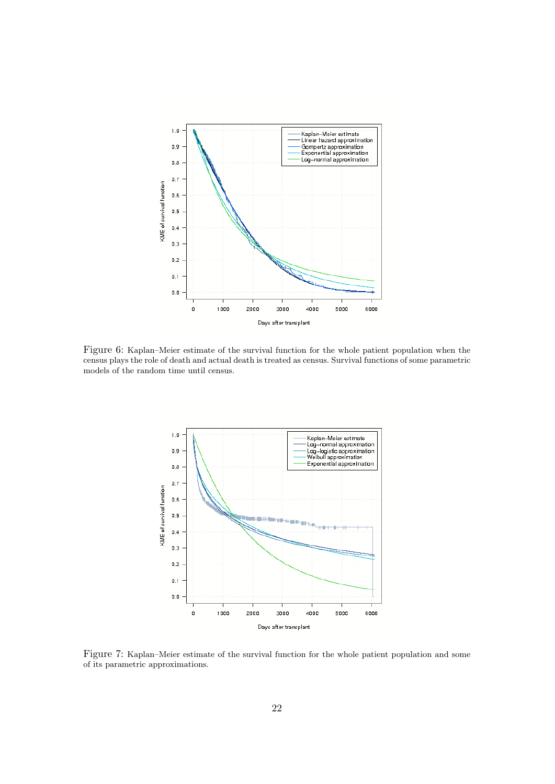

Figure 6: Kaplan–Meier estimate of the survival function for the whole patient population when the census plays the role of death and actual death is treated as census. Survival functions of some parametric models of the random time until census.



Figure 7: Kaplan–Meier estimate of the survival function for the whole patient population and some of its parametric approximations.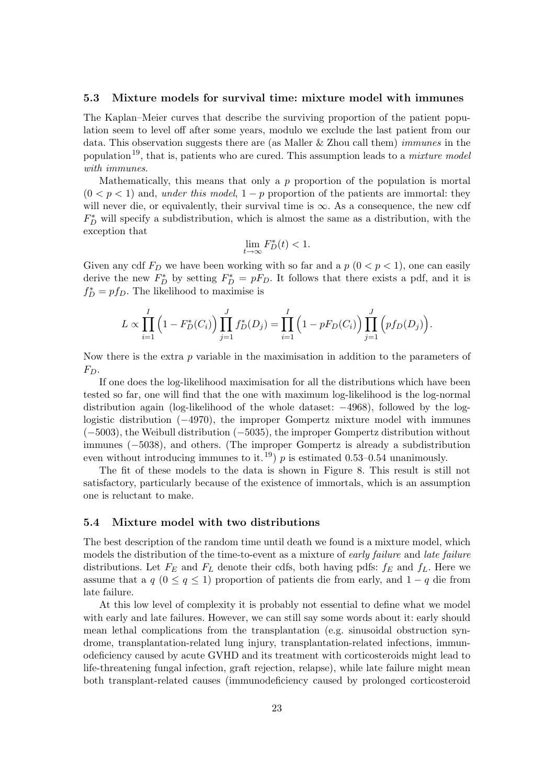#### 5.3 Mixture models for survival time: mixture model with immunes

The Kaplan–Meier curves that describe the surviving proportion of the patient population seem to level off after some years, modulo we exclude the last patient from our data. This observation suggests there are (as Maller & Zhou call them) immunes in the population<sup>19</sup>, that is, patients who are cured. This assumption leads to a *mixture model* with immunes.

Mathematically, this means that only a  $p$  proportion of the population is mortal  $(0 < p < 1)$  and, under this model,  $1 - p$  proportion of the patients are immortal: they will never die, or equivalently, their survival time is  $\infty$ . As a consequence, the new cdf  $F_D^*$  will specify a subdistribution, which is almost the same as a distribution, with the exception that

$$
\lim_{t \to \infty} F_D^*(t) < 1.
$$

Given any cdf  $F_D$  we have been working with so far and a  $p(0 < p < 1)$ , one can easily derive the new  $F_D^*$  by setting  $F_D^* = pF_D$ . It follows that there exists a pdf, and it is  $f_D^* = pf_D$ . The likelihood to maximise is

$$
L \propto \prod_{i=1}^{I} \left(1 - F_D^*(C_i)\right) \prod_{j=1}^{J} f_D^*(D_j) = \prod_{i=1}^{I} \left(1 - pF_D(C_i)\right) \prod_{j=1}^{J} \left(pf_D(D_j)\right).
$$

Now there is the extra  $p$  variable in the maximisation in addition to the parameters of  $F_D$ .

If one does the log-likelihood maximisation for all the distributions which have been tested so far, one will find that the one with maximum log-likelihood is the log-normal distribution again (log-likelihood of the whole dataset: −4968), followed by the loglogistic distribution (−4970), the improper Gompertz mixture model with immunes (−5003), the Weibull distribution (−5035), the improper Gompertz distribution without immunes (−5038), and others. (The improper Gompertz is already a subdistribution even without introducing immunes to it.<sup>19</sup>) p is estimated 0.53–0.54 unanimously.

The fit of these models to the data is shown in Figure 8. This result is still not satisfactory, particularly because of the existence of immortals, which is an assumption one is reluctant to make.

#### 5.4 Mixture model with two distributions

The best description of the random time until death we found is a mixture model, which models the distribution of the time-to-event as a mixture of early failure and late failure distributions. Let  $F_E$  and  $F_L$  denote their cdfs, both having pdfs:  $f_E$  and  $f_L$ . Here we assume that a  $q$  ( $0 \leq q \leq 1$ ) proportion of patients die from early, and  $1 - q$  die from late failure.

At this low level of complexity it is probably not essential to define what we model with early and late failures. However, we can still say some words about it: early should mean lethal complications from the transplantation (e.g. sinusoidal obstruction syndrome, transplantation-related lung injury, transplantation-related infections, immunodeficiency caused by acute GVHD and its treatment with corticosteroids might lead to life-threatening fungal infection, graft rejection, relapse), while late failure might mean both transplant-related causes (immunodeficiency caused by prolonged corticosteroid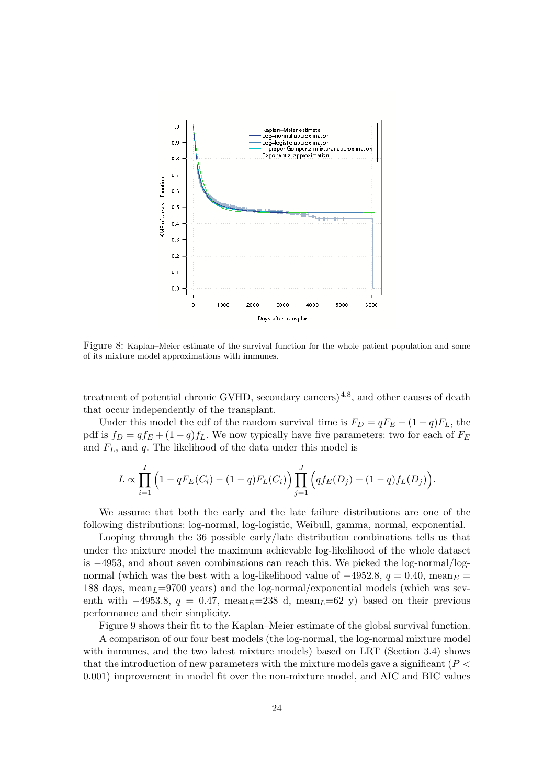

Figure 8: Kaplan–Meier estimate of the survival function for the whole patient population and some of its mixture model approximations with immunes.

treatment of potential chronic GVHD, secondary cancers)<sup>4,8</sup>, and other causes of death that occur independently of the transplant.

Under this model the cdf of the random survival time is  $F_D = qF_E + (1 - q)F_L$ , the pdf is  $f_D = q f_E + (1 - q) f_L$ . We now typically have five parameters: two for each of  $F_E$ and  $F<sub>L</sub>$ , and  $q$ . The likelihood of the data under this model is

$$
L \propto \prod_{i=1}^{I} \left(1 - qF_E(C_i) - (1-q)F_L(C_i)\right) \prod_{j=1}^{J} \left(qf_E(D_j) + (1-q)f_L(D_j)\right).
$$

We assume that both the early and the late failure distributions are one of the following distributions: log-normal, log-logistic, Weibull, gamma, normal, exponential.

Looping through the 36 possible early/late distribution combinations tells us that under the mixture model the maximum achievable log-likelihood of the whole dataset is −4953, and about seven combinations can reach this. We picked the log-normal/lognormal (which was the best with a log-likelihood value of  $-4952.8$ ,  $q = 0.40$ , mean $_F =$ 188 days, mean<sub> $L$ </sub>=9700 years) and the log-normal/exponential models (which was seventh with  $-4953.8$ ,  $q = 0.47$ , mean $E=238$  d, mean $L=62$  y) based on their previous performance and their simplicity.

Figure 9 shows their fit to the Kaplan–Meier estimate of the global survival function.

A comparison of our four best models (the log-normal, the log-normal mixture model with immunes, and the two latest mixture models) based on LRT (Section 3.4) shows that the introduction of new parameters with the mixture models gave a significant  $(P<$ 0.001) improvement in model fit over the non-mixture model, and AIC and BIC values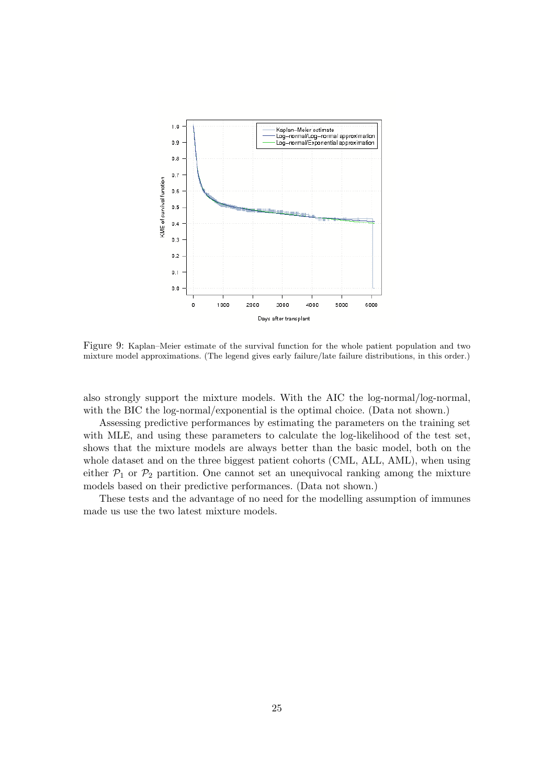

Figure 9: Kaplan–Meier estimate of the survival function for the whole patient population and two mixture model approximations. (The legend gives early failure/late failure distributions, in this order.)

also strongly support the mixture models. With the AIC the log-normal/log-normal, with the BIC the log-normal/exponential is the optimal choice. (Data not shown.)

Assessing predictive performances by estimating the parameters on the training set with MLE, and using these parameters to calculate the log-likelihood of the test set, shows that the mixture models are always better than the basic model, both on the whole dataset and on the three biggest patient cohorts (CML, ALL, AML), when using either  $P_1$  or  $P_2$  partition. One cannot set an unequivocal ranking among the mixture models based on their predictive performances. (Data not shown.)

These tests and the advantage of no need for the modelling assumption of immunes made us use the two latest mixture models.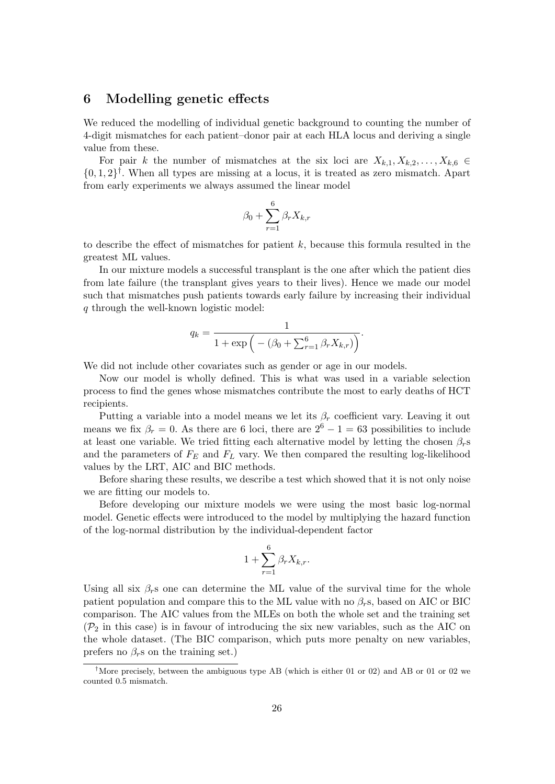## 6 Modelling genetic effects

We reduced the modelling of individual genetic background to counting the number of 4-digit mismatches for each patient–donor pair at each HLA locus and deriving a single value from these.

For pair k the number of mismatches at the six loci are  $X_{k,1}, X_{k,2}, \ldots, X_{k,6} \in$  $\{0,1,2\}^{\dagger}$ . When all types are missing at a locus, it is treated as zero mismatch. Apart from early experiments we always assumed the linear model

$$
\beta_0 + \sum_{r=1}^{6} \beta_r X_{k,r}
$$

to describe the effect of mismatches for patient  $k$ , because this formula resulted in the greatest ML values.

In our mixture models a successful transplant is the one after which the patient dies from late failure (the transplant gives years to their lives). Hence we made our model such that mismatches push patients towards early failure by increasing their individual q through the well-known logistic model:

$$
q_k = \frac{1}{1 + \exp\left(-\left(\beta_0 + \sum_{r=1}^6 \beta_r X_{k,r}\right)\right)}.
$$

We did not include other covariates such as gender or age in our models.

Now our model is wholly defined. This is what was used in a variable selection process to find the genes whose mismatches contribute the most to early deaths of HCT recipients.

Putting a variable into a model means we let its  $\beta_r$  coefficient vary. Leaving it out means we fix  $\beta_r = 0$ . As there are 6 loci, there are  $2^6 - 1 = 63$  possibilities to include at least one variable. We tried fitting each alternative model by letting the chosen  $\beta_r$ s and the parameters of  $F_E$  and  $F_L$  vary. We then compared the resulting log-likelihood values by the LRT, AIC and BIC methods.

Before sharing these results, we describe a test which showed that it is not only noise we are fitting our models to.

Before developing our mixture models we were using the most basic log-normal model. Genetic effects were introduced to the model by multiplying the hazard function of the log-normal distribution by the individual-dependent factor

$$
1 + \sum_{r=1}^{6} \beta_r X_{k,r}.
$$

Using all six  $\beta_r$ s one can determine the ML value of the survival time for the whole patient population and compare this to the ML value with no  $\beta_r$ s, based on AIC or BIC comparison. The AIC values from the MLEs on both the whole set and the training set  $(\mathcal{P}_2)$  in this case) is in favour of introducing the six new variables, such as the AIC on the whole dataset. (The BIC comparison, which puts more penalty on new variables, prefers no  $\beta_r$ s on the training set.)

<sup>&</sup>lt;sup>†</sup>More precisely, between the ambiguous type AB (which is either 01 or 02) and AB or 01 or 02 we counted 0.5 mismatch.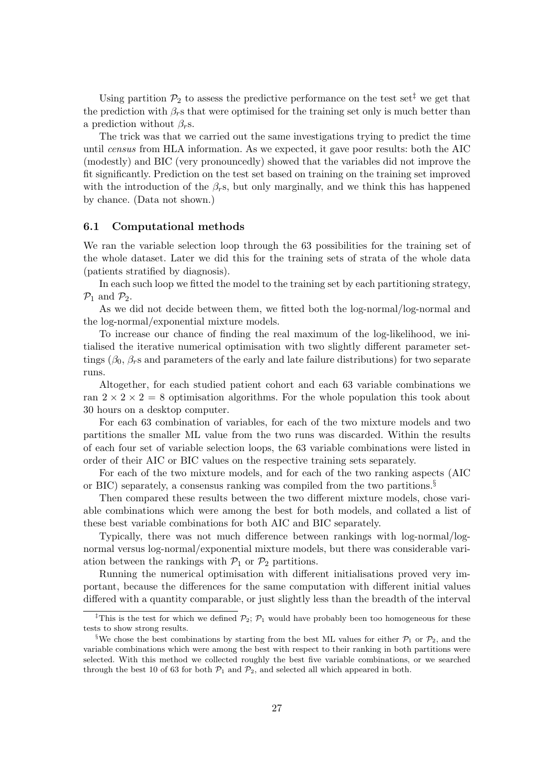Using partition  $\mathcal{P}_2$  to assess the predictive performance on the test set<sup> $\ddagger$ </sup> we get that the prediction with  $\beta_r$ s that were optimised for the training set only is much better than a prediction without  $\beta_r$ s.

The trick was that we carried out the same investigations trying to predict the time until census from HLA information. As we expected, it gave poor results: both the AIC (modestly) and BIC (very pronouncedly) showed that the variables did not improve the fit significantly. Prediction on the test set based on training on the training set improved with the introduction of the  $\beta_r$ s, but only marginally, and we think this has happened by chance. (Data not shown.)

#### 6.1 Computational methods

We ran the variable selection loop through the 63 possibilities for the training set of the whole dataset. Later we did this for the training sets of strata of the whole data (patients stratified by diagnosis).

In each such loop we fitted the model to the training set by each partitioning strategy,  $\mathcal{P}_1$  and  $\mathcal{P}_2$ .

As we did not decide between them, we fitted both the log-normal/log-normal and the log-normal/exponential mixture models.

To increase our chance of finding the real maximum of the log-likelihood, we initialised the iterative numerical optimisation with two slightly different parameter settings ( $\beta_0$ ,  $\beta_r$ s and parameters of the early and late failure distributions) for two separate runs.

Altogether, for each studied patient cohort and each 63 variable combinations we ran  $2 \times 2 \times 2 = 8$  optimisation algorithms. For the whole population this took about 30 hours on a desktop computer.

For each 63 combination of variables, for each of the two mixture models and two partitions the smaller ML value from the two runs was discarded. Within the results of each four set of variable selection loops, the 63 variable combinations were listed in order of their AIC or BIC values on the respective training sets separately.

For each of the two mixture models, and for each of the two ranking aspects (AIC or BIC) separately, a consensus ranking was compiled from the two partitions.<sup>§</sup>

Then compared these results between the two different mixture models, chose variable combinations which were among the best for both models, and collated a list of these best variable combinations for both AIC and BIC separately.

Typically, there was not much difference between rankings with log-normal/lognormal versus log-normal/exponential mixture models, but there was considerable variation between the rankings with  $\mathcal{P}_1$  or  $\mathcal{P}_2$  partitions.

Running the numerical optimisation with different initialisations proved very important, because the differences for the same computation with different initial values differed with a quantity comparable, or just slightly less than the breadth of the interval

<sup>&</sup>lt;sup>‡</sup>This is the test for which we defined  $\mathcal{P}_2$ ;  $\mathcal{P}_1$  would have probably been too homogeneous for these tests to show strong results.

<sup>&</sup>lt;sup>§</sup>We chose the best combinations by starting from the best ML values for either  $\mathcal{P}_1$  or  $\mathcal{P}_2$ , and the variable combinations which were among the best with respect to their ranking in both partitions were selected. With this method we collected roughly the best five variable combinations, or we searched through the best 10 of 63 for both  $P_1$  and  $P_2$ , and selected all which appeared in both.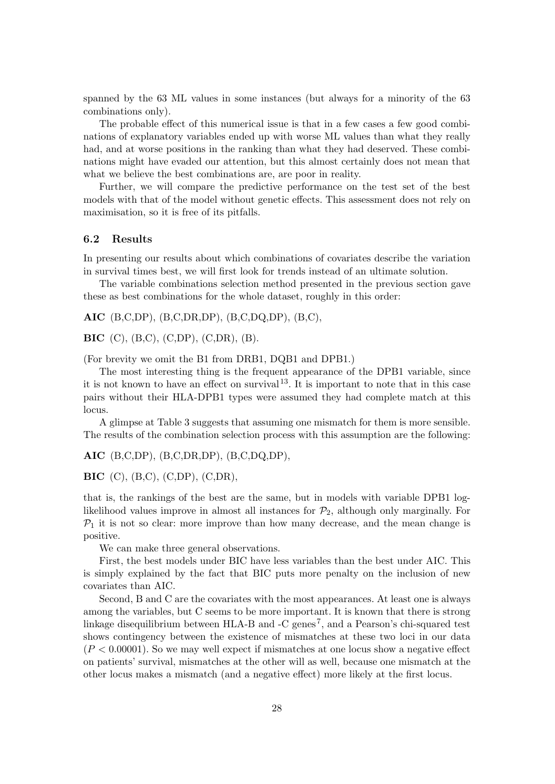spanned by the 63 ML values in some instances (but always for a minority of the 63 combinations only).

The probable effect of this numerical issue is that in a few cases a few good combinations of explanatory variables ended up with worse ML values than what they really had, and at worse positions in the ranking than what they had deserved. These combinations might have evaded our attention, but this almost certainly does not mean that what we believe the best combinations are, are poor in reality.

Further, we will compare the predictive performance on the test set of the best models with that of the model without genetic effects. This assessment does not rely on maximisation, so it is free of its pitfalls.

#### 6.2 Results

In presenting our results about which combinations of covariates describe the variation in survival times best, we will first look for trends instead of an ultimate solution.

The variable combinations selection method presented in the previous section gave these as best combinations for the whole dataset, roughly in this order:

AIC (B,C,DP), (B,C,DR,DP), (B,C,DQ,DP), (B,C),

BIC (C), (B,C), (C,DP), (C,DR), (B).

(For brevity we omit the B1 from DRB1, DQB1 and DPB1.)

The most interesting thing is the frequent appearance of the DPB1 variable, since it is not known to have an effect on survival<sup>13</sup>. It is important to note that in this case pairs without their HLA-DPB1 types were assumed they had complete match at this locus.

A glimpse at Table 3 suggests that assuming one mismatch for them is more sensible. The results of the combination selection process with this assumption are the following:

AIC (B,C,DP), (B,C,DR,DP), (B,C,DQ,DP),

BIC (C), (B,C), (C,DP), (C,DR),

that is, the rankings of the best are the same, but in models with variable DPB1 loglikelihood values improve in almost all instances for  $\mathcal{P}_2$ , although only marginally. For  $P_1$  it is not so clear: more improve than how many decrease, and the mean change is positive.

We can make three general observations.

First, the best models under BIC have less variables than the best under AIC. This is simply explained by the fact that BIC puts more penalty on the inclusion of new covariates than AIC.

Second, B and C are the covariates with the most appearances. At least one is always among the variables, but C seems to be more important. It is known that there is strong linkage disequilibrium between HLA-B and -C genes<sup>7</sup>, and a Pearson's chi-squared test shows contingency between the existence of mismatches at these two loci in our data  $(P < 0.00001)$ . So we may well expect if mismatches at one locus show a negative effect on patients' survival, mismatches at the other will as well, because one mismatch at the other locus makes a mismatch (and a negative effect) more likely at the first locus.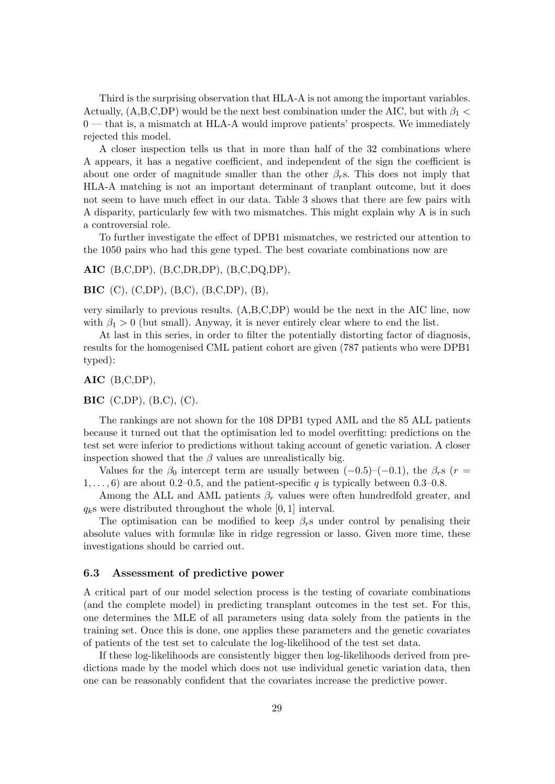Third is the surprising observation that HLA-A is not among the important variables. Actually,  $(A,B,C,DP)$  would be the next best combination under the AIC, but with  $\beta_1$ 0 — that is, a mismatch at HLA-A would improve patients' prospects. We immediately rejected this model.

A closer inspection tells us that in more than half of the 32 combinations where A appears, it has a negative coefficient, and independent of the sign the coefficient is about one order of magnitude smaller than the other  $\beta_{r}$ s. This does not imply that HLA-A matching is not an important determinant of tranplant outcome, but it does not seem to have much effect in our data. Table 3 shows that there are few pairs with A disparity, particularly few with two mismatches. This might explain why A is in such a controversial role.

To further investigate the effect of DPB1 mismatches, we restricted our attention to the 1050 pairs who had this gene typed. The best covariate combinations now are

AIC (B,C,DP), (B,C,DR,DP), (B,C,DQ,DP),

BIC (C), (C,DP), (B,C), (B,C,DP), (B),

very similarly to previous results. (A,B,C,DP) would be the next in the AIC line, now with  $\beta_1 > 0$  (but small). Anyway, it is never entirely clear where to end the list.

At last in this series, in order to filter the potentially distorting factor of diagnosis, results for the homogenised CML patient cohort are given (787 patients who were DPB1 typed):

AIC (B,C,DP),

BIC (C,DP), (B,C), (C).

The rankings are not shown for the 108 DPB1 typed AML and the 85 ALL patients because it turned out that the optimisation led to model overfitting: predictions on the test set were inferior to predictions without taking account of genetic variation. A closer inspection showed that the  $\beta$  values are unrealistically big.

Values for the  $\beta_0$  intercept term are usually between  $(-0.5)$ – $(-0.1)$ , the  $\beta_r$ s (r =  $1, \ldots, 6$  are about 0.2–0.5, and the patient-specific q is typically between 0.3–0.8.

Among the ALL and AML patients  $\beta_r$  values were often hundredfold greater, and  $q_k$ s were distributed throughout the whole [0, 1] interval.

The optimisation can be modified to keep  $\beta_r$ s under control by penalising their absolute values with formulæ like in ridge regression or lasso. Given more time, these investigations should be carried out.

#### 6.3 Assessment of predictive power

A critical part of our model selection process is the testing of covariate combinations (and the complete model) in predicting transplant outcomes in the test set. For this, one determines the MLE of all parameters using data solely from the patients in the training set. Once this is done, one applies these parameters and the genetic covariates of patients of the test set to calculate the log-likelihood of the test set data.

If these log-likelihoods are consistently bigger then log-likelihoods derived from predictions made by the model which does not use individual genetic variation data, then one can be reasonably confident that the covariates increase the predictive power.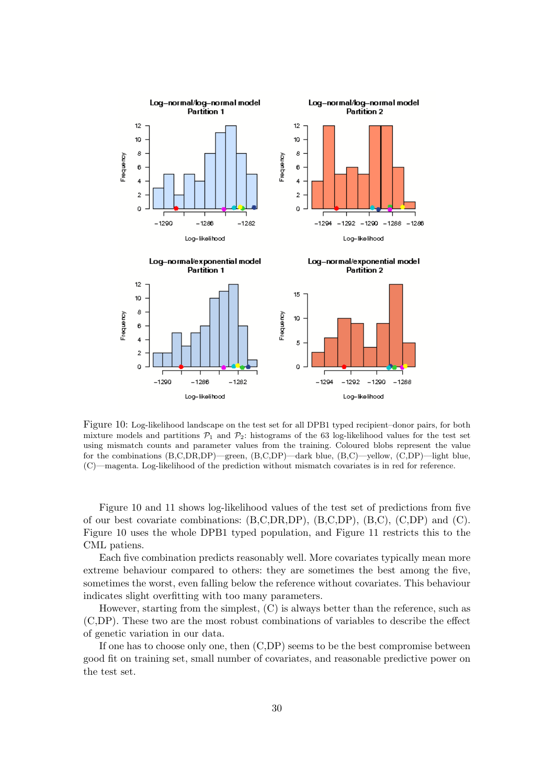

Figure 10: Log-likelihood landscape on the test set for all DPB1 typed recipient–donor pairs, for both mixture models and partitions  $P_1$  and  $P_2$ : histograms of the 63 log-likelihood values for the test set using mismatch counts and parameter values from the training. Coloured blobs represent the value for the combinations (B,C,DR,DP)—green, (B,C,DP)—dark blue, (B,C)—yellow, (C,DP)—light blue, (C)—magenta. Log-likelihood of the prediction without mismatch covariates is in red for reference.

Figure 10 and 11 shows log-likelihood values of the test set of predictions from five of our best covariate combinations:  $(B, C, DR, DP)$ ,  $(B, C, DP)$ ,  $(B, C)$ ,  $(C, DP)$  and  $(C)$ . Figure 10 uses the whole DPB1 typed population, and Figure 11 restricts this to the CML patiens.

Each five combination predicts reasonably well. More covariates typically mean more extreme behaviour compared to others: they are sometimes the best among the five, sometimes the worst, even falling below the reference without covariates. This behaviour indicates slight overfitting with too many parameters.

However, starting from the simplest, (C) is always better than the reference, such as (C,DP). These two are the most robust combinations of variables to describe the effect of genetic variation in our data.

If one has to choose only one, then (C,DP) seems to be the best compromise between good fit on training set, small number of covariates, and reasonable predictive power on the test set.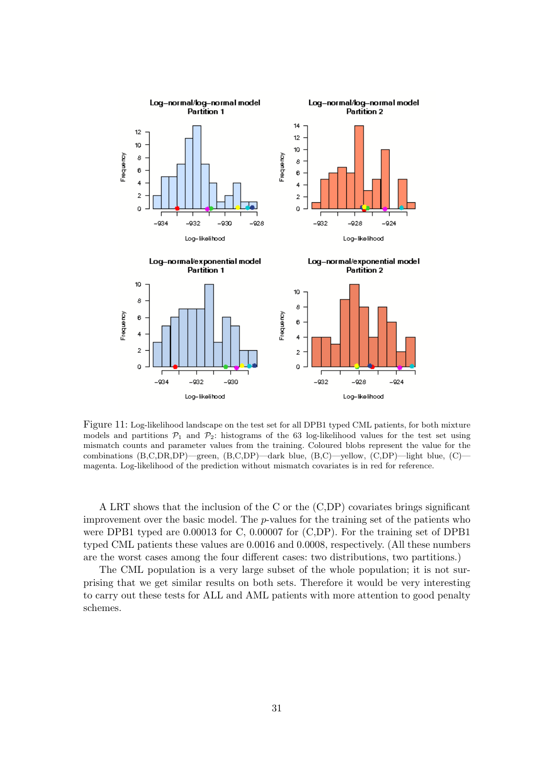

Figure 11: Log-likelihood landscape on the test set for all DPB1 typed CML patients, for both mixture models and partitions  $P_1$  and  $P_2$ : histograms of the 63 log-likelihood values for the test set using mismatch counts and parameter values from the training. Coloured blobs represent the value for the combinations (B,C,DR,DP)—green, (B,C,DP)—dark blue, (B,C)—yellow, (C,DP)—light blue, (C) magenta. Log-likelihood of the prediction without mismatch covariates is in red for reference.

A LRT shows that the inclusion of the C or the (C,DP) covariates brings significant improvement over the basic model. The p-values for the training set of the patients who were DPB1 typed are 0.00013 for C, 0.00007 for (C,DP). For the training set of DPB1 typed CML patients these values are 0.0016 and 0.0008, respectively. (All these numbers are the worst cases among the four different cases: two distributions, two partitions.)

The CML population is a very large subset of the whole population; it is not surprising that we get similar results on both sets. Therefore it would be very interesting to carry out these tests for ALL and AML patients with more attention to good penalty schemes.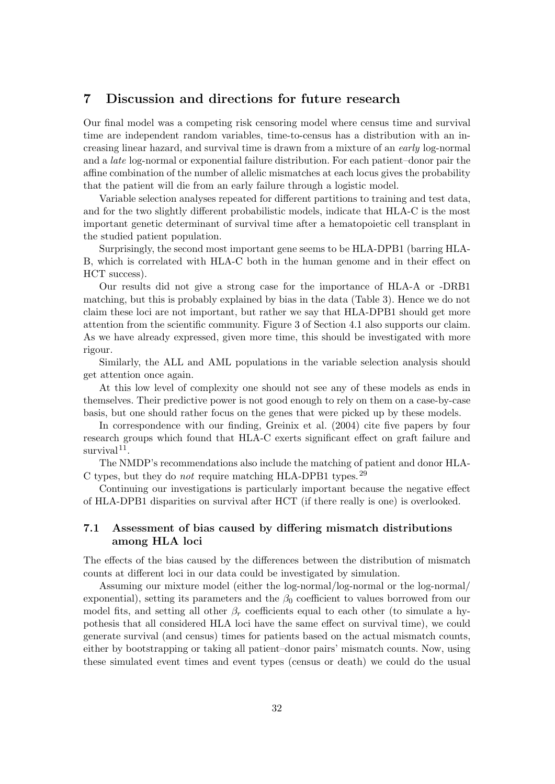# 7 Discussion and directions for future research

Our final model was a competing risk censoring model where census time and survival time are independent random variables, time-to-census has a distribution with an increasing linear hazard, and survival time is drawn from a mixture of an early log-normal and a late log-normal or exponential failure distribution. For each patient–donor pair the affine combination of the number of allelic mismatches at each locus gives the probability that the patient will die from an early failure through a logistic model.

Variable selection analyses repeated for different partitions to training and test data, and for the two slightly different probabilistic models, indicate that HLA-C is the most important genetic determinant of survival time after a hematopoietic cell transplant in the studied patient population.

Surprisingly, the second most important gene seems to be HLA-DPB1 (barring HLA-B, which is correlated with HLA-C both in the human genome and in their effect on HCT success).

Our results did not give a strong case for the importance of HLA-A or -DRB1 matching, but this is probably explained by bias in the data (Table 3). Hence we do not claim these loci are not important, but rather we say that HLA-DPB1 should get more attention from the scientific community. Figure 3 of Section 4.1 also supports our claim. As we have already expressed, given more time, this should be investigated with more rigour.

Similarly, the ALL and AML populations in the variable selection analysis should get attention once again.

At this low level of complexity one should not see any of these models as ends in themselves. Their predictive power is not good enough to rely on them on a case-by-case basis, but one should rather focus on the genes that were picked up by these models.

In correspondence with our finding, Greinix et al. (2004) cite five papers by four research groups which found that HLA-C exerts significant effect on graft failure and  $survival<sup>11</sup>$ .

The NMDP's recommendations also include the matching of patient and donor HLA-C types, but they do *not* require matching HLA-DPB1 types.<sup>29</sup>

Continuing our investigations is particularly important because the negative effect of HLA-DPB1 disparities on survival after HCT (if there really is one) is overlooked.

### 7.1 Assessment of bias caused by differing mismatch distributions among HLA loci

The effects of the bias caused by the differences between the distribution of mismatch counts at different loci in our data could be investigated by simulation.

Assuming our mixture model (either the log-normal/log-normal or the log-normal/ exponential), setting its parameters and the  $\beta_0$  coefficient to values borrowed from our model fits, and setting all other  $\beta_r$  coefficients equal to each other (to simulate a hypothesis that all considered HLA loci have the same effect on survival time), we could generate survival (and census) times for patients based on the actual mismatch counts, either by bootstrapping or taking all patient–donor pairs' mismatch counts. Now, using these simulated event times and event types (census or death) we could do the usual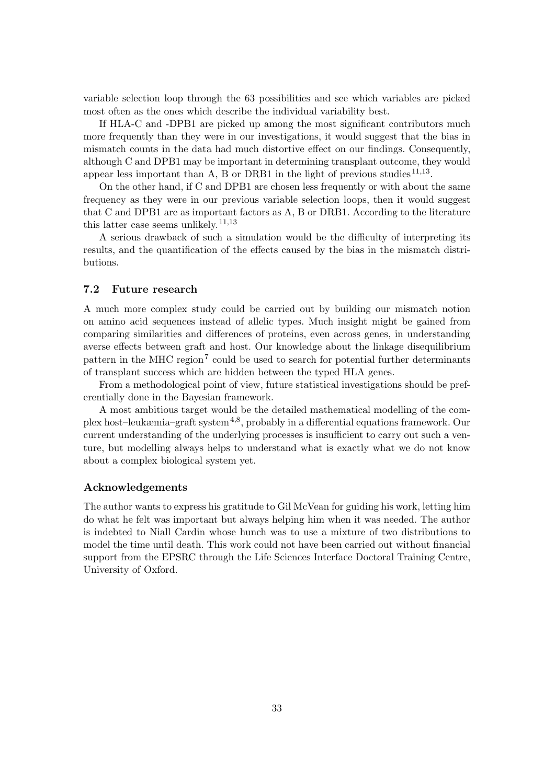variable selection loop through the 63 possibilities and see which variables are picked most often as the ones which describe the individual variability best.

If HLA-C and -DPB1 are picked up among the most significant contributors much more frequently than they were in our investigations, it would suggest that the bias in mismatch counts in the data had much distortive effect on our findings. Consequently, although C and DPB1 may be important in determining transplant outcome, they would appear less important than A, B or DRB1 in the light of previous studies  $11,13$ .

On the other hand, if C and DPB1 are chosen less frequently or with about the same frequency as they were in our previous variable selection loops, then it would suggest that C and DPB1 are as important factors as A, B or DRB1. According to the literature this latter case seems unlikely.  $^{11,13}$ 

A serious drawback of such a simulation would be the difficulty of interpreting its results, and the quantification of the effects caused by the bias in the mismatch distributions.

#### 7.2 Future research

A much more complex study could be carried out by building our mismatch notion on amino acid sequences instead of allelic types. Much insight might be gained from comparing similarities and differences of proteins, even across genes, in understanding averse effects between graft and host. Our knowledge about the linkage disequilibrium pattern in the MHC region<sup>7</sup> could be used to search for potential further determinants of transplant success which are hidden between the typed HLA genes.

From a methodological point of view, future statistical investigations should be preferentially done in the Bayesian framework.

A most ambitious target would be the detailed mathematical modelling of the complex host–leukæmia–graft system4,8, probably in a differential equations framework. Our current understanding of the underlying processes is insufficient to carry out such a venture, but modelling always helps to understand what is exactly what we do not know about a complex biological system yet.

#### Acknowledgements

The author wants to express his gratitude to Gil McVean for guiding his work, letting him do what he felt was important but always helping him when it was needed. The author is indebted to Niall Cardin whose hunch was to use a mixture of two distributions to model the time until death. This work could not have been carried out without financial support from the EPSRC through the Life Sciences Interface Doctoral Training Centre, University of Oxford.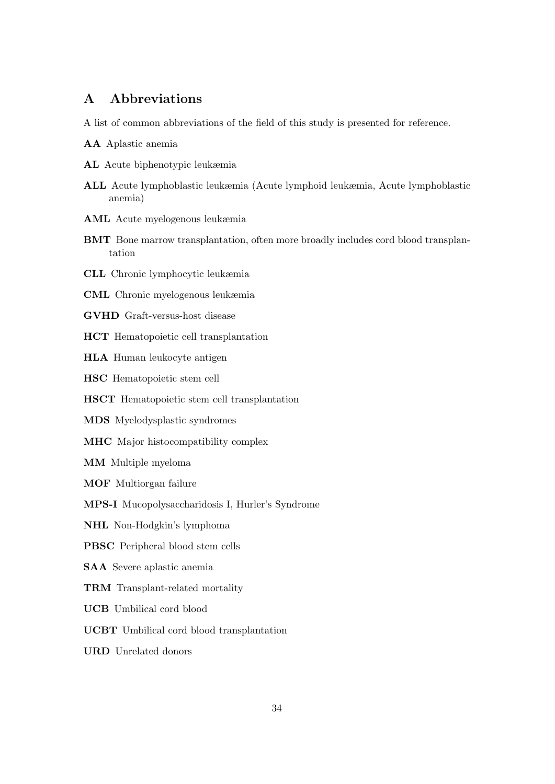# A Abbreviations

A list of common abbreviations of the field of this study is presented for reference.

- AA Aplastic anemia
- AL Acute biphenotypic leukæmia
- ALL Acute lymphoblastic leukæmia (Acute lymphoid leukæmia, Acute lymphoblastic anemia)
- AML Acute myelogenous leukæmia
- BMT Bone marrow transplantation, often more broadly includes cord blood transplantation
- CLL Chronic lymphocytic leukæmia
- CML Chronic myelogenous leukæmia
- GVHD Graft-versus-host disease
- HCT Hematopoietic cell transplantation
- HLA Human leukocyte antigen
- HSC Hematopoietic stem cell
- HSCT Hematopoietic stem cell transplantation
- MDS Myelodysplastic syndromes
- MHC Major histocompatibility complex
- MM Multiple myeloma
- MOF Multiorgan failure
- MPS-I Mucopolysaccharidosis I, Hurler's Syndrome
- NHL Non-Hodgkin's lymphoma
- PBSC Peripheral blood stem cells
- SAA Severe aplastic anemia
- TRM Transplant-related mortality
- UCB Umbilical cord blood
- UCBT Umbilical cord blood transplantation
- URD Unrelated donors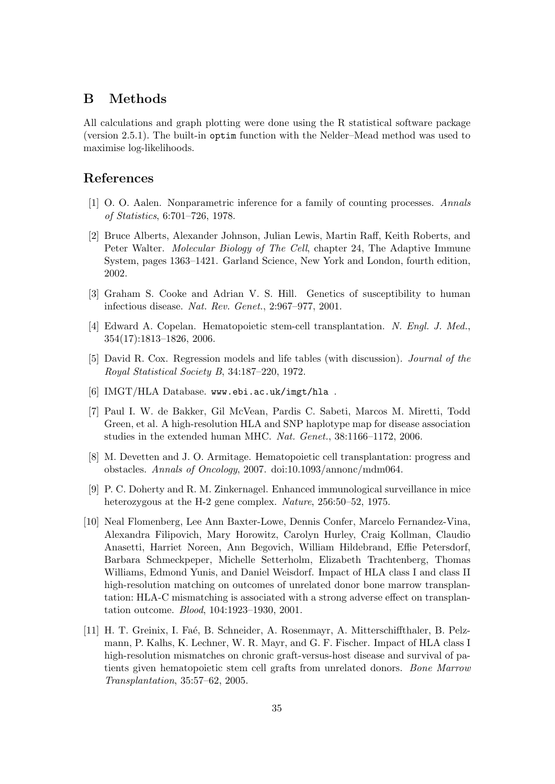# B Methods

All calculations and graph plotting were done using the R statistical software package (version 2.5.1). The built-in optim function with the Nelder–Mead method was used to maximise log-likelihoods.

# References

- [1] O. O. Aalen. Nonparametric inference for a family of counting processes. Annals of Statistics, 6:701–726, 1978.
- [2] Bruce Alberts, Alexander Johnson, Julian Lewis, Martin Raff, Keith Roberts, and Peter Walter. Molecular Biology of The Cell, chapter 24, The Adaptive Immune System, pages 1363–1421. Garland Science, New York and London, fourth edition, 2002.
- [3] Graham S. Cooke and Adrian V. S. Hill. Genetics of susceptibility to human infectious disease. Nat. Rev. Genet., 2:967–977, 2001.
- [4] Edward A. Copelan. Hematopoietic stem-cell transplantation. N. Engl. J. Med., 354(17):1813–1826, 2006.
- [5] David R. Cox. Regression models and life tables (with discussion). Journal of the Royal Statistical Society B, 34:187–220, 1972.
- [6] IMGT/HLA Database. www.ebi.ac.uk/imgt/hla .
- [7] Paul I. W. de Bakker, Gil McVean, Pardis C. Sabeti, Marcos M. Miretti, Todd Green, et al. A high-resolution HLA and SNP haplotype map for disease association studies in the extended human MHC. Nat. Genet., 38:1166–1172, 2006.
- [8] M. Devetten and J. O. Armitage. Hematopoietic cell transplantation: progress and obstacles. Annals of Oncology, 2007. doi:10.1093/annonc/mdm064.
- [9] P. C. Doherty and R. M. Zinkernagel. Enhanced immunological surveillance in mice heterozygous at the H-2 gene complex. *Nature*, 256:50–52, 1975.
- [10] Neal Flomenberg, Lee Ann Baxter-Lowe, Dennis Confer, Marcelo Fernandez-Vina, Alexandra Filipovich, Mary Horowitz, Carolyn Hurley, Craig Kollman, Claudio Anasetti, Harriet Noreen, Ann Begovich, William Hildebrand, Effie Petersdorf, Barbara Schmeckpeper, Michelle Setterholm, Elizabeth Trachtenberg, Thomas Williams, Edmond Yunis, and Daniel Weisdorf. Impact of HLA class I and class II high-resolution matching on outcomes of unrelated donor bone marrow transplantation: HLA-C mismatching is associated with a strong adverse effect on transplantation outcome. Blood, 104:1923–1930, 2001.
- [11] H. T. Greinix, I. Faé, B. Schneider, A. Rosenmayr, A. Mitterschiffthaler, B. Pelzmann, P. Kalhs, K. Lechner, W. R. Mayr, and G. F. Fischer. Impact of HLA class I high-resolution mismatches on chronic graft-versus-host disease and survival of patients given hematopoietic stem cell grafts from unrelated donors. Bone Marrow Transplantation, 35:57–62, 2005.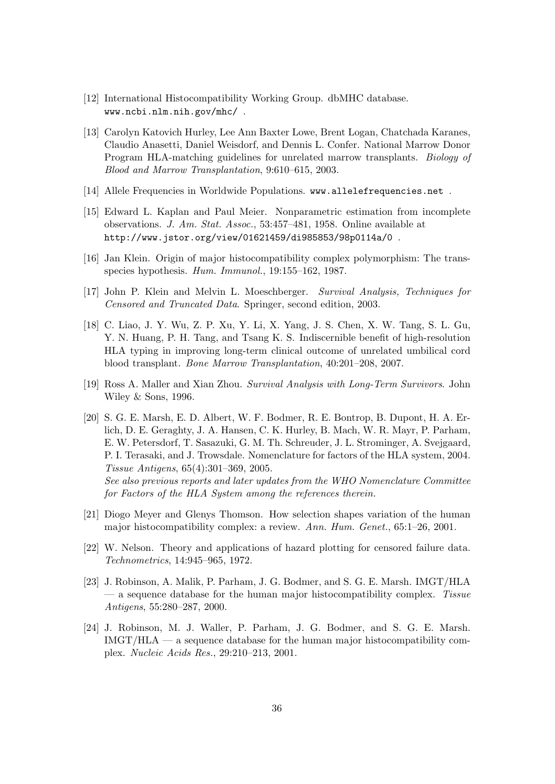- [12] International Histocompatibility Working Group. dbMHC database. www.ncbi.nlm.nih.gov/mhc/ .
- [13] Carolyn Katovich Hurley, Lee Ann Baxter Lowe, Brent Logan, Chatchada Karanes, Claudio Anasetti, Daniel Weisdorf, and Dennis L. Confer. National Marrow Donor Program HLA-matching guidelines for unrelated marrow transplants. Biology of Blood and Marrow Transplantation, 9:610–615, 2003.
- [14] Allele Frequencies in Worldwide Populations. www.allelefrequencies.net.
- [15] Edward L. Kaplan and Paul Meier. Nonparametric estimation from incomplete observations. J. Am. Stat. Assoc., 53:457–481, 1958. Online available at http://www.jstor.org/view/01621459/di985853/98p0114a/0 .
- [16] Jan Klein. Origin of major histocompatibility complex polymorphism: The transspecies hypothesis. Hum. Immunol., 19:155–162, 1987.
- [17] John P. Klein and Melvin L. Moeschberger. Survival Analysis, Techniques for Censored and Truncated Data. Springer, second edition, 2003.
- [18] C. Liao, J. Y. Wu, Z. P. Xu, Y. Li, X. Yang, J. S. Chen, X. W. Tang, S. L. Gu, Y. N. Huang, P. H. Tang, and Tsang K. S. Indiscernible benefit of high-resolution HLA typing in improving long-term clinical outcome of unrelated umbilical cord blood transplant. Bone Marrow Transplantation, 40:201–208, 2007.
- [19] Ross A. Maller and Xian Zhou. Survival Analysis with Long-Term Survivors. John Wiley & Sons, 1996.
- [20] S. G. E. Marsh, E. D. Albert, W. F. Bodmer, R. E. Bontrop, B. Dupont, H. A. Erlich, D. E. Geraghty, J. A. Hansen, C. K. Hurley, B. Mach, W. R. Mayr, P. Parham, E. W. Petersdorf, T. Sasazuki, G. M. Th. Schreuder, J. L. Strominger, A. Svejgaard, P. I. Terasaki, and J. Trowsdale. Nomenclature for factors of the HLA system, 2004. Tissue Antigens, 65(4):301–369, 2005. See also previous reports and later updates from the WHO Nomenclature Committee for Factors of the HLA System among the references therein.
- [21] Diogo Meyer and Glenys Thomson. How selection shapes variation of the human major histocompatibility complex: a review. Ann. Hum. Genet., 65:1–26, 2001.
- [22] W. Nelson. Theory and applications of hazard plotting for censored failure data. Technometrics, 14:945–965, 1972.
- [23] J. Robinson, A. Malik, P. Parham, J. G. Bodmer, and S. G. E. Marsh. IMGT/HLA  $-$  a sequence database for the human major histocompatibility complex. Tissue Antigens, 55:280–287, 2000.
- [24] J. Robinson, M. J. Waller, P. Parham, J. G. Bodmer, and S. G. E. Marsh.  $IMGT/HLA$  — a sequence database for the human major histocompatibility complex. Nucleic Acids Res., 29:210–213, 2001.